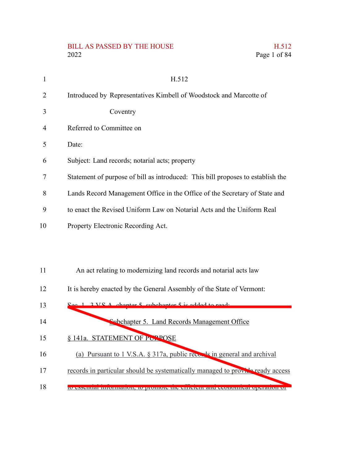#### BILL AS PASSED BY THE HOUSE 2022 Page 1 of 84

|  | H.512        |
|--|--------------|
|  | Page 1 of 84 |

| $\mathbf{1}$   | H.512                                                                           |
|----------------|---------------------------------------------------------------------------------|
| 2              | Introduced by Representatives Kimbell of Woodstock and Marcotte of              |
| 3              | Coventry                                                                        |
| $\overline{4}$ | Referred to Committee on                                                        |
| 5              | Date:                                                                           |
| 6              | Subject: Land records; notarial acts; property                                  |
| 7              | Statement of purpose of bill as introduced: This bill proposes to establish the |
| 8              | Lands Record Management Office in the Office of the Secretary of State and      |
| 9              | to enact the Revised Uniform Law on Notarial Acts and the Uniform Real          |
| 10             | Property Electronic Recording Act.                                              |
|                |                                                                                 |
| 11             | An act relating to modernizing land records and notarial acts law               |
| 12             | It is hereby enacted by the General Assembly of the State of Vermont:           |

 $3. V.S.$  chapter 5, subchapter 5 is added to read: Subchapter 5. Land Records Management Office 13 14

- § 141a. STATEMENT OF PURPOSE 15
- (a) Pursuant to 1 V.S.A. § 317a, public records in general and archival 16
- records in particular should be systematically managed to provide ready access 17
- to essential information, to promote the efficient and economical operation of 18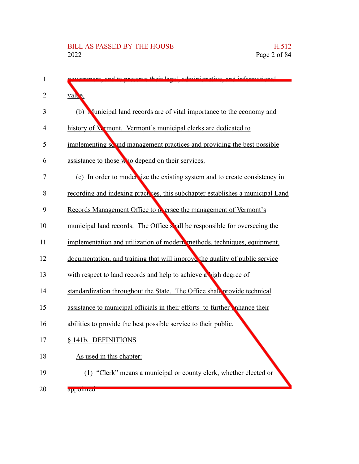| 1  | compute their local edministrative and informational                           |
|----|--------------------------------------------------------------------------------|
| 2  | valle.                                                                         |
| 3  | (b) Municipal land records are of vital importance to the economy and          |
| 4  | history of Wymont. Vermont's municipal clerks are dedicated to                 |
| 5  | implementing so und management practices and providing the best possible       |
| 6  | assistance to those who depend on their services.                              |
| 7  | (c) In order to model size the existing system and to create consistency in    |
| 8  | recording and indexing practices, this subchapter establishes a municipal Land |
| 9  | Records Management Office to oversee the management of Vermont's               |
| 10 | municipal land records. The Office shall be responsible for overseeing the     |
| 11 | implementation and utilization of modern methods, techniques, equipment,       |
| 12 | documentation, and training that will improve the quality of public service    |
| 13 | with respect to land records and help to achieve a high degree of              |
| 14 | standardization throughout the State. The Office shall provide technical       |
| 15 | assistance to municipal officials in their efforts to further nhance their     |
| 16 | abilities to provide the best possible service to their public.                |
| 17 | § 141b. DEFINITIONS                                                            |
| 18 | As used in this chapter:                                                       |
| 19 | (1) "Clerk" means a municipal or county clerk, whether elected or              |
| 20 | appomicu.                                                                      |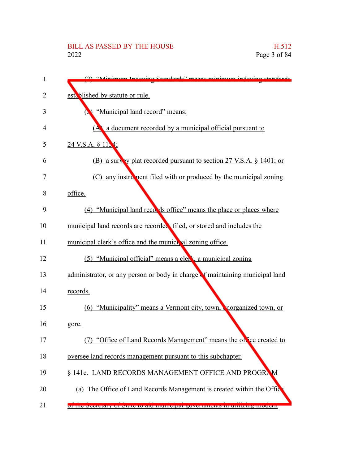| 1  | (2) "Minimum Indoving Standards" means minimum indoving standards            |
|----|------------------------------------------------------------------------------|
| 2  | established by statute or rule.                                              |
| 3  | "Municipal land record" means:                                               |
| 4  | a document recorded by a municipal official pursuant to<br>(A                |
| 5  | 24 V.S.A. § 11.4;                                                            |
| 6  | (B) a survey plat recorded pursuant to section 27 V.S.A. § 1401; or          |
| 7  | any instrument filed with or produced by the municipal zoning<br>(C)         |
| 8  | office.                                                                      |
| 9  | (4) "Municipal land records office" means the place or places where          |
| 10 | municipal land records are recorded filed, or stored and includes the        |
| 11 | municipal clerk's office and the municipal zoning office.                    |
| 12 | (5) "Municipal official" means a clerk, a municipal zoning                   |
| 13 | administrator, or any person or body in charge of maintaining municipal land |
| 14 | records.                                                                     |
| 15 | (6) "Municipality" means a Vermont city, town, norganized town, or           |
| 16 | gore.                                                                        |
| 17 | "Office of Land Records Management" means the office created to              |
| 18 | oversee land records management pursuant to this subchapter.                 |
| 19 | § 141c. LAND RECORDS MANAGEMENT OFFICE AND PROGRAM                           |
| 20 | (a) The Office of Land Records Management is created within the Office       |
| 21 | or the Secretary of State to are municipal governments in utilizing modern   |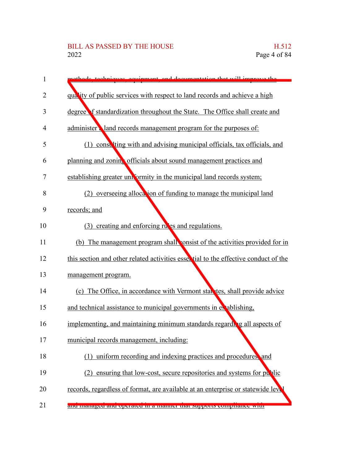| 1  | thode techniques equipment and decumentation that will improve the                  |
|----|-------------------------------------------------------------------------------------|
| 2  | quality of public services with respect to land records and achieve a high          |
| 3  | degree f standardization throughout the State. The Office shall create and          |
| 4  | administer land records management program for the purposes of:                     |
| 5  | (1) consulting with and advising municipal officials, tax officials, and            |
| 6  | planning and zoning officials about sound management practices and                  |
| 7  | establishing greater uniformity in the municipal land records system;               |
| 8  | overseeing allocation of funding to manage the municipal land<br>(2)                |
| 9  | records; and                                                                        |
| 10 | (3) creating and enforcing rules and regulations.                                   |
| 11 | (b) The management program shall consist of the activities provided for in          |
| 12 | this section and other related activities essertial to the effective conduct of the |
| 13 | management program.                                                                 |
| 14 | (c) The Office, in accordance with Vermont statutes, shall provide advice           |
| 15 | and technical assistance to municipal governments in exabishing,                    |
| 16 | implementing, and maintaining minimum standards regarding all aspects of            |
| 17 | municipal records management, including:                                            |
| 18 | (1) uniform recording and indexing practices and procedures, and                    |
| 19 | ensuring that low-cost, secure repositories and systems for public<br>(2)           |
| 20 | records, regardless of format, are available at an enterprise or statewide level    |
| 21 | and managed and operated in a manner that supports compirance with                  |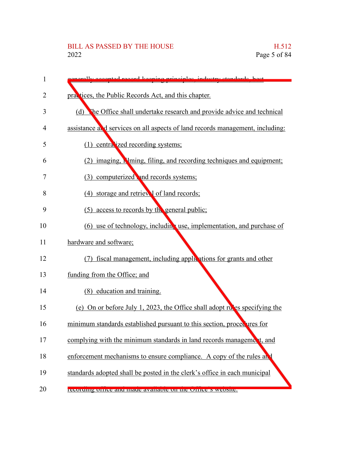| 1  | lly accorded record keeping principles industry standards best                |
|----|-------------------------------------------------------------------------------|
| 2  | practices, the Public Records Act, and this chapter.                          |
| 3  | The Office shall undertake research and provide advice and technical<br>(d)   |
| 4  | assistance and services on all aspects of land records management, including: |
| 5  | (1) centralized recording systems;                                            |
| 6  | (2) imaging, N ming, filing, and recording techniques and equipment;          |
| 7  | computerized and records systems;<br>(3)                                      |
| 8  | (4) storage and retrieval of land records;                                    |
| 9  | access to records by the general public;<br>(5)                               |
| 10 | (6) use of technology, including use, implementation, and purchase of         |
| 11 | hardware and software;                                                        |
| 12 | fiscal management, including applications for grants and other<br>(7)         |
| 13 | funding from the Office; and                                                  |
| 14 | (8) education and training.                                                   |
| 15 | (e) On or before July 1, 2023, the Office shall adopt rules specifying the    |
| 16 | minimum standards established pursuant to this section, procee ures for       |
| 17 | complying with the minimum standards in land records management, and          |
| 18 | enforcement mechanisms to ensure compliance. A copy of the rules and          |
| 19 | standards adopted shall be posted in the clerk's office in each municipal     |
| 20 | recording office and made available on the Office's website.                  |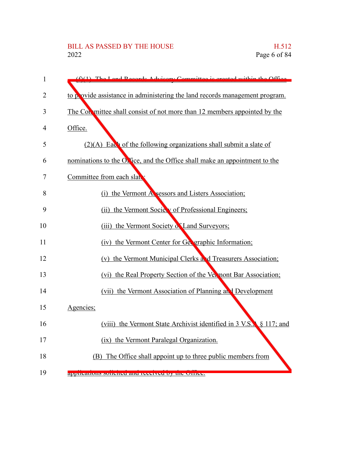# BILL AS PASSED BY THE HOUSE H.512<br>2022 Page 6 of 84

| $\mathbf{1}$   | $f(1)$ The Land Records Advisory Committee is are<br>$\frac{1}{1}$ thin the Office        |
|----------------|-------------------------------------------------------------------------------------------|
| $\overline{2}$ | to p ovide assistance in administering the land records management program.               |
| 3              | The Con mittee shall consist of not more than 12 members appointed by the                 |
| 4              | Office.                                                                                   |
| 5              | $(2)(A)$ Each of the following organizations shall submit a slate of                      |
| 6              | nominations to the $Ok$ fice, and the Office shall make an appointment to the             |
| 7              | Committee from each slat                                                                  |
| 8              | (i) the Vermont Assessors and Listers Association;                                        |
| 9              | (ii) the Vermont Society of Professional Engineers;                                       |
| 10             | (iii) the Vermont Society of Land Surveyors;                                              |
| 11             | (iv) the Vermont Center for Geveraphic Information;                                       |
| 12             | (v) the Vermont Municipal Clerks and Treasurers Association;                              |
| 13             | (vi) the Real Property Section of the Vermont Bar Association;                            |
| 14             | (vii) the Vermont Association of Planning and Development                                 |
| 15             | Agencies;                                                                                 |
| 16             | (viii) the Vermont State Archivist identified in $3 \text{ V.S.}$ , $8 \text{ 117}$ ; and |
| 17             | (ix) the Vermont Paralegal Organization.                                                  |
| 18             | (B) The Office shall appoint up to three public members from                              |
| 19             | applications solicited and received by the Office.                                        |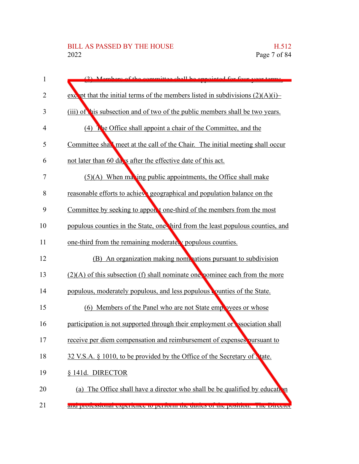| $\mathbf{1}$   | (2) Mombors of the committee shall be appointed for four year torms.              |
|----------------|-----------------------------------------------------------------------------------|
| 2              | except that the initial terms of the members listed in subdivisions $(2)(A)(i)$ - |
| 3              | (iii) of his subsection and of two of the public members shall be two years.      |
| $\overline{4}$ | (4) The Office shall appoint a chair of the Committee, and the                    |
| 5              | Committee shall meet at the call of the Chair. The initial meeting shall occur    |
| 6              | not later than 60 days after the effective date of this act.                      |
| 7              | $(5)(A)$ When maxing public appointments, the Office shall make                   |
| 8              | reasonable efforts to achieve geographical and population balance on the          |
| 9              | Committee by seeking to appoint one-third of the members from the most            |
| 10             | populous counties in the State, one hird from the least populous counties, and    |
| 11             | one-third from the remaining moderater populous counties.                         |
| 12             | (B) An organization making nominations pursuant to subdivision                    |
| 13             | $(2)(A)$ of this subsection (f) shall nominate one nominee each from the more     |
| 14             | populous, moderately populous, and less populous counties of the State.           |
| 15             | (6) Members of the Panel who are not State employees or whose                     |
| 16             | participation is not supported through their employment or ssociation shall       |
| 17             | receive per diem compensation and reimbursement of expenses pursuant to           |
| 18             | 32 V.S.A. § 1010, to be provided by the Office of the Secretary of Nate.          |
| 19             | § 141d. DIRECTOR                                                                  |
| 20             | (a) The Office shall have a director who shall be be qualified by education       |
| 21             | and professional experience to perform the duttes of the position. The Director   |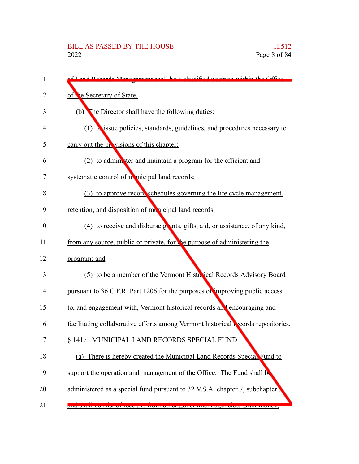| 1  | f Land Reserve Management shall be a classified position within the Office               |
|----|------------------------------------------------------------------------------------------|
| 2  | of the Secretary of State.                                                               |
| 3  | (b) The Director shall have the following duties:                                        |
| 4  | $(1)$ to issue policies, standards, guidelines, and procedures necessary to              |
| 5  | carry out the provisions of this chapter;                                                |
| 6  | (2) to adminiter and maintain a program for the efficient and                            |
| 7  | systematic control of monicipal land records;                                            |
| 8  | (3) to approve record schedules governing the life cycle management,                     |
| 9  | retention, and disposition of municipal land records;                                    |
| 10 | (4) to receive and disburse grants, gifts, aid, or assistance, of any kind,              |
| 11 | from any source, public or private, for the purpose of administering the                 |
| 12 | program; and                                                                             |
| 13 | (5) to be a member of the Vermont Historical Records Advisory Board                      |
| 14 | pursuant to 36 C.F.R. Part 1206 for the purposes of improving public access              |
| 15 | to, and engagement with, Vermont historical records and encouraging and                  |
| 16 | facilitating collaborative efforts among Vermont historical <b>P</b> cords repositories. |
| 17 | § 141e. MUNICIPAL LAND RECORDS SPECIAL FUND                                              |
| 18 | (a) There is hereby created the Municipal Land Records Special Fund to                   |
| 19 | support the operation and management of the Office. The Fund shall be                    |
| 20 | administered as a special fund pursuant to 32 V.S.A. chapter 7, subchapter               |
| 21 | ани ман соным от гесерв понгонет government agencies, grant money,                       |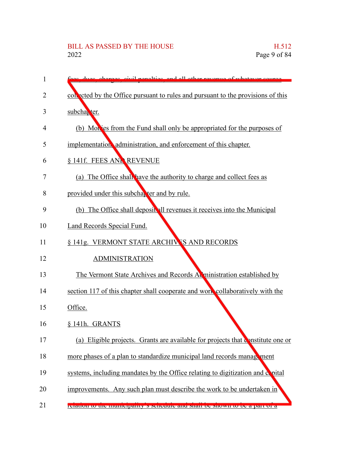# BILL AS PASSED BY THE HOUSE H.512<br>2022 Page 9 of 84

| 1  | nos aivil nongltigs, and all other revenue of whetever sou                         |
|----|------------------------------------------------------------------------------------|
| 2  | collected by the Office pursuant to rules and pursuant to the provisions of this   |
| 3  | subcha <sub>k</sub> ter.                                                           |
| 4  | (b) Mon es from the Fund shall only be appropriated for the purposes of            |
| 5  | implementation, administration, and enforcement of this chapter.                   |
| 6  | § 141f. FEES AND REVENUE                                                           |
| 7  | (a) The Office shall have the authority to charge and collect fees as              |
| 8  | provided under this subchapter and by rule.                                        |
| 9  | (b) The Office shall deposit all revenues it receives into the Municipal           |
| 10 | Land Records Special Fund.                                                         |
| 11 | § 141g. VERMONT STATE ARCHIVES AND RECORDS                                         |
| 12 | <b>ADMINISTRATION</b>                                                              |
| 13 | The Vermont State Archives and Records Administration established by               |
| 14 | section 117 of this chapter shall cooperate and work collaboratively with the      |
| 15 | Office.                                                                            |
| 16 | § 141h. GRANTS                                                                     |
| 17 | (a)<br>Eligible projects. Grants are available for projects that constitute one or |
| 18 | more phases of a plan to standardize municipal land records management             |
| 19 | systems, including mandates by the Office relating to digitization and copital     |
| 20 | improvements. Any such plan must describe the work to be undertaken in             |
| 21 | relation to the municipality is senedule and shall be shown to be a part of a      |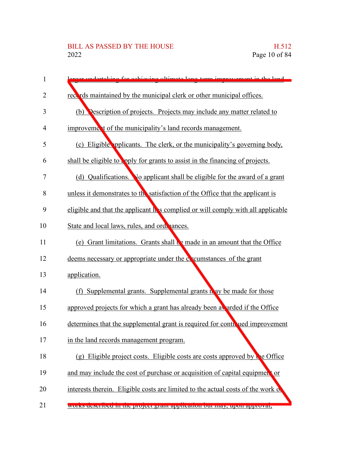| 1              | reex undertaking for achieving ultimate long term improvement in the land        |
|----------------|----------------------------------------------------------------------------------|
| $\overline{2}$ | records maintained by the municipal clerk or other municipal offices.            |
| 3              | (b) Description of projects. Projects may include any matter related to          |
| 4              | improvement of the municipality's land records management.                       |
| 5              | (c) Eligible pplicants. The clerk, or the municipality's governing body,         |
| 6              | shall be eligible to upply for grants to assist in the financing of projects.    |
| 7              | (d) Qualifications. No applicant shall be eligible for the award of a grant      |
| 8              | unless it demonstrates to the satisfaction of the Office that the applicant is   |
| 9              | eligible and that the applicant h s complied or will comply with all applicable  |
| 10             | State and local laws, rules, and ordenances.                                     |
| 11             | (e) Grant limitations. Grants shall be made in an amount that the Office         |
| 12             | deems necessary or appropriate under the coventum can of the grant               |
| 13             | application.                                                                     |
| 14             | (f) Supplemental grants. Supplemental grants in ay be made for those             |
| 15             | approved projects for which a grant has already been a arded if the Office       |
| 16             | determines that the supplemental grant is required for contributed improvement   |
| 17             | in the land records management program.                                          |
| 18             | (g) Eligible project costs. Eligible costs are costs approved by the Office      |
| 19             | and may include the cost of purchase or acquisition of capital equipment or      |
| 20             | interests therein. Eligible costs are limited to the actual costs of the work of |
| 21             | works described in the project grant application out may, upon approval,         |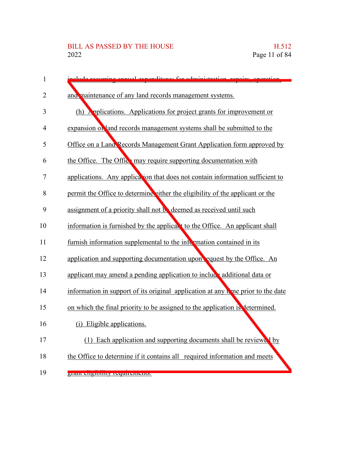| $\mathbf{1}$   | odministration repairs<br>لمتتمومه<br>raditurga for                               |
|----------------|-----------------------------------------------------------------------------------|
| $\overline{2}$ | and maintenance of any land records management systems.                           |
| 3              | (h) Applications. Applications for project grants for improvement or              |
| 4              | expansion of and records management systems shall be submitted to the             |
| 5              | Office on a Land Records Management Grant Application form approved by            |
| 6              | the Office. The Office may require supporting documentation with                  |
| 7              | applications. Any application that does not contain information sufficient to     |
| 8              | permit the Office to determine either the eligibility of the applicant or the     |
| 9              | assignment of a priority shall not be deemed as received until such               |
| 10             | information is furnished by the applicant to the Office. An applicant shall       |
| 11             | furnish information supplemental to the information contained in its              |
| 12             | application and supporting documentation upon equest by the Office. An            |
| 13             | applicant may amend a pending application to include additional data or           |
| 14             | information in support of its original application at any to me prior to the date |
| 15             | on which the final priority to be assigned to the application is determined.      |
| 16             | (i) Eligible applications.                                                        |
| 17             | (1) Each application and supporting documents shall be reviewed by                |
| 18             | the Office to determine if it contains all required information and meets         |
| 19             | <u>згані спзіонну геспігеність.</u>                                               |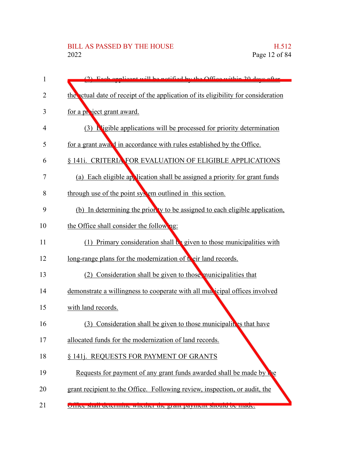| 1              | (2) Each engligent will be notified by the Office within 20 days often            |
|----------------|-----------------------------------------------------------------------------------|
| $\overline{2}$ | the ctual date of receipt of the application of its eligibility for consideration |
| 3              | for a project grant award.                                                        |
| 4              | $(3)$ <b>E</b> ligible applications will be processed for priority determination  |
| 5              | for a grant awald in accordance with rules established by the Office.             |
| 6              | § 141i. CRITERIA FOR EVALUATION OF ELIGIBLE APPLICATIONS                          |
| 7              | (a) Each eligible application shall be assigned a priority for grant funds        |
| 8              | through use of the point system outlined in this section.                         |
| 9              | (b) In determining the prior ty to be assigned to each eligible application,      |
| 10             | the Office shall consider the following:                                          |
| 11             | $(1)$ Primary consideration shall $\mathbf{b}$ given to those municipalities with |
| 12             | long-range plans for the modernization of their land records.                     |
| 13             | (2) Consideration shall be given to those municipalities that                     |
| 14             | demonstrate a willingness to cooperate with all municipal offices involved        |
| 15             | with land records.                                                                |
| 16             | (3) Consideration shall be given to those municipalities that have                |
| 17             | allocated funds for the modernization of land records.                            |
| 18             | § 141j. REQUESTS FOR PAYMENT OF GRANTS                                            |
| 19             | Requests for payment of any grant funds awarded shall be made by                  |
| 20             | grant recipient to the Office. Following review, inspection, or audit, the        |
| 21             | United share determine whether the grant payment should be made.                  |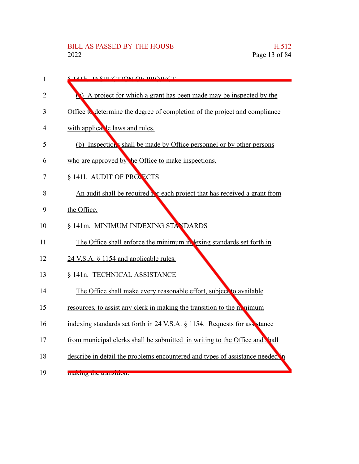| $\mathbf{1}$ | 8.1411 INCOECTION OF DROIECT                                                     |
|--------------|----------------------------------------------------------------------------------|
| 2            | A project for which a grant has been made may be inspected by the                |
| 3            | Office to determine the degree of completion of the project and compliance       |
| 4            | with applical le laws and rules.                                                 |
| 5            | (b) Inspection's shall be made by Office personnel or by other persons           |
| 6            | who are approved by the Office to make inspections.                              |
| 7            | § 1411. AUDIT OF PRONECTS                                                        |
| 8            | An audit shall be required <b>b</b> reach project that has received a grant from |
| 9            | the Office.                                                                      |
| 10           | § 141m. MINIMUM INDEXING STANDARDS                                               |
| 11           | The Office shall enforce the minimum in lexing standards set forth in            |
| 12           | 24 V.S.A. § 1154 and applicable rules.                                           |
| 13           | § 141n. TECHNICAL ASSISTANCE                                                     |
| 14           | The Office shall make every reasonable effort, subject to available              |
| 15           | resources, to assist any clerk in making the transition to the momentum          |
| 16           | indexing standards set forth in 24 V.S.A. § 1154. Requests for assistance        |
| 17           | from municipal clerks shall be submitted in writing to the Office and hall       |
| 18           | describe in detail the problems encountered and types of assistance needed in    |
| 19           | шакину ию и анхнон.                                                              |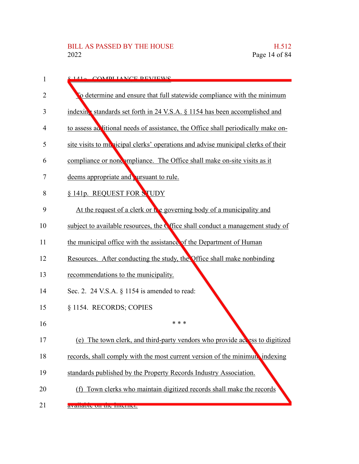| 1              | 8.141. COMPLIANCE DEVIEWS                                                          |
|----------------|------------------------------------------------------------------------------------|
| $\overline{2}$ | To determine and ensure that full statewide compliance with the minimum            |
| 3              | indexing standards set forth in 24 V.S.A. § 1154 has been accomplished and         |
| 4              | to assess ad litional needs of assistance, the Office shall periodically make on-  |
| 5              | site visits to multiplated clerks' operations and advise municipal clerks of their |
| 6              | compliance or noncompliance. The Office shall make on-site visits as it            |
| 7              | deems appropriate and ursuant to rule.                                             |
| 8              | § 141p. REQUEST FOR STUDY                                                          |
| 9              | At the request of a clerk or the governing body of a municipality and              |
| 10             | subject to available resources, the C fice shall conduct a management study of     |
| 11             | the municipal office with the assistance of the Department of Human                |
| 12             | Resources. After conducting the study, the Office shall make nonbinding            |
| 13             | recommendations to the municipality.                                               |
| 14             | Sec. 2. 24 V.S.A. $\S$ 1154 is amended to read:                                    |
| 15             | § 1154. RECORDS; COPIES                                                            |
| 16             | * * *                                                                              |
| 17             | (e) The town clerk, and third-party vendors who provide access to digitized        |
| 18             | records, shall comply with the most current version of the minimum indexing        |
| 19             | standards published by the Property Records Industry Association.                  |
| 20             | (f) Town clerks who maintain digitized records shall make the records              |
| 21             | avanaure un me miemer.                                                             |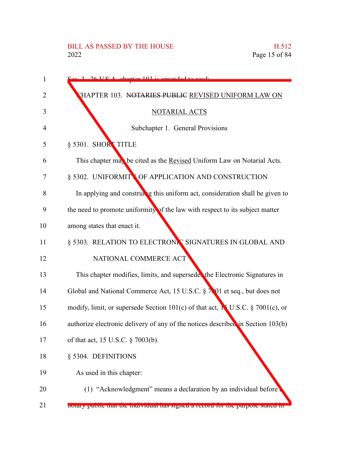| 1  | 2 26 VC A chanter 102 is amonded to read.                                                 |
|----|-------------------------------------------------------------------------------------------|
| 2  | THAPTER 103. NOTARIES PUBLIC REVISED UNIFORM LAW ON                                       |
| 3  | NOTARIAL ACTS                                                                             |
| 4  | Subchapter 1. General Provisions                                                          |
| 5  | § 5301. SHORT TITLE                                                                       |
| 6  | This chapter may be cited as the Revised Uniform Law on Notarial Acts.                    |
| 7  | § 5302. UNIFORMITY OF APPLICATION AND CONSTRUCTION                                        |
| 8  | In applying and construing this uniform act, consideration shall be given to              |
| 9  | the need to promote uniformity of the law with respect to its subject matter              |
| 10 | among states that enact it.                                                               |
| 11 | § 5303. RELATION TO ELECTRONIC SIGNATURES IN GLOBAL AND                                   |
| 12 | NATIONAL COMMERCE ACT                                                                     |
| 13 | This chapter modifies, limits, and supersede the Electronic Signatures in                 |
| 14 | Global and National Commerce Act, 15 U.S.C. § 7001 et seq., but does not                  |
| 15 | modify, limit, or supersede Section 101(c) of that act, $\mathbf{N}$ U.S.C. § 7001(c), or |
| 16 | authorize electronic delivery of any of the notices described in Section 103(b)           |
| 17 | of that act, 15 U.S.C. § 7003(b).                                                         |
| 18 | § 5304. DEFINITIONS                                                                       |
| 19 | As used in this chapter:                                                                  |
| 20 | (1) "Acknowledgment" means a declaration by an individual before                          |
| 21 | notary public that the murvidual has signed a record for the purpose stated in            |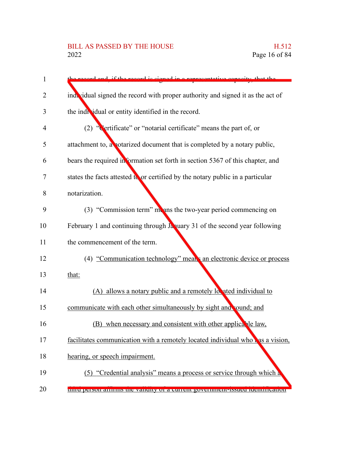# BILL AS PASSED BY THE HOUSE H.512<br>2022 Page 16 of 84

| $\mathbf{1}$ | d and if the record is signed in a representative conseity that the             |
|--------------|---------------------------------------------------------------------------------|
| 2            | ind, vidual signed the record with proper authority and signed it as the act of |
| 3            | the individual or entity identified in the record.                              |
| 4            | Certificate" or "notarial certificate" means the part of, or<br>(2)             |
| 5            | attachment to, a notarized document that is completed by a notary public,       |
| 6            | bears the required information set forth in section 5367 of this chapter, and   |
| 7            | states the facts attested to or certified by the notary public in a particular  |
| 8            | notarization.                                                                   |
| 9            | (3) "Commission term" means the two-year period commencing on                   |
| 10           | February 1 and continuing through Ja uary 31 of the second year following       |
| 11           | the commencement of the term.                                                   |
| 12           | (4) "Communication technology" means an electronic device or process            |
| 13           | that:                                                                           |
| 14           | (A) allows a notary public and a remotely located individual to                 |
| 15           | communicate with each other simultaneously by sight and sound; and              |
| 16           | (B) when necessary and consistent with other applicable law,                    |
| 17           | facilitates communication with a remotely located individual who has a vision,  |
| 18           | hearing, or speech impairment.                                                  |
| 19           | (5) "Credential analysis" means a process or service through which a            |
| 20           | unit person animis the vantury of a current government issued tuentineation     |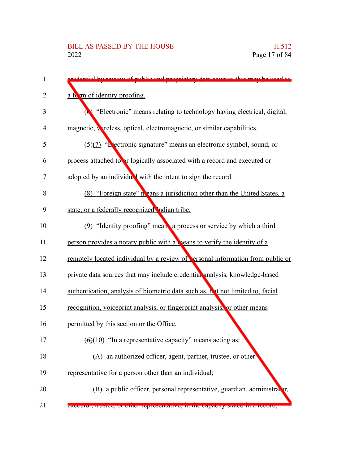| 1              | dontial by rayiow of public and proprietary data courses that may be used as      |
|----------------|-----------------------------------------------------------------------------------|
| 2              | a form of identity proofing.                                                      |
| 3              | "Electronic" means relating to technology having electrical, digital,<br>$\omega$ |
| $\overline{4}$ | magnetic, wireless, optical, electromagnetic, or similar capabilities.            |
| 5              | $\frac{5}{7}$ "L'ectronic signature" means an electronic symbol, sound, or        |
| 6              | process attached to or logically associated with a record and executed or         |
| 7              | adopted by an individual with the intent to sign the record.                      |
| 8              | (8) "Foreign state" in eans a jurisdiction other than the United States, a        |
| 9              | state, or a federally recognized ndian tribe.                                     |
| 10             | (9) "Identity proofing" mean a process or service by which a third                |
| 11             | person provides a notary public with a <b>neans</b> to verify the identity of a   |
| 12             | remotely located individual by a review of ersonal information from public or     |
| 13             | private data sources that may include credential analysis, knowledge-based        |
| 14             | authentication, analysis of biometric data such as, but not limited to, facial    |
| 15             | recognition, voiceprint analysis, or fingerprint analysis, or other means         |
| 16             | permitted by this section or the Office.                                          |
| 17             | $(6)(10)$ "In a representative capacity" means acting as:                         |
| 18             | (A) an authorized officer, agent, partner, trustee, or other                      |
| 19             | representative for a person other than an individual;                             |
| 20             | (B) a public officer, personal representative, guardian, administrator,           |
| 21             | executor, trustee, or other representative, in the capacity stated in a record,   |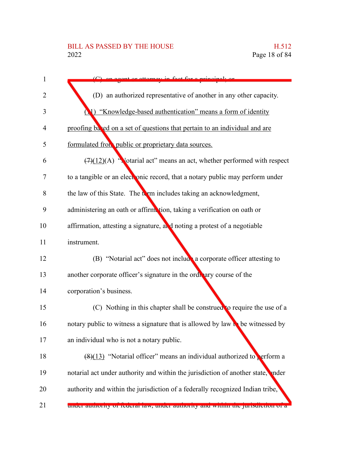| 1              | grant or attorney in fact for a principal.                                               |
|----------------|------------------------------------------------------------------------------------------|
| $\overline{2}$ | (D) an authorized representative of another in any other capacity.                       |
| 3              | (1) "Knowledge-based authentication" means a form of identity                            |
| $\overline{4}$ | proofing based on a set of questions that pertain to an individual and are               |
| 5              | formulated from public or proprietary data sources.                                      |
| 6              | $(7)(12)(A)$ "Notarial act" means an act, whether performed with respect                 |
| 7              | to a tangible or an electronic record, that a notary public may perform under            |
| 8              | the law of this State. The term includes taking an acknowledgment,                       |
| 9              | administering an oath or affirmation, taking a verification on oath or                   |
| 10             | affirmation, attesting a signature, and noting a protest of a negotiable                 |
| 11             | instrument.                                                                              |
| 12             | (B) "Notarial act" does not include a corporate officer attesting to                     |
| 13             | another corporate officer's signature in the ordinary course of the                      |
| 14             | corporation's business.                                                                  |
| 15             | (C) Nothing in this chapter shall be construed to require the use of a                   |
| 16             | notary public to witness a signature that is allowed by law $\mathbf{b}$ be witnessed by |
| 17             | an individual who is not a notary public.                                                |
| 18             | $(8)(13)$ "Notarial officer" means an individual authorized to perform a                 |
| 19             | notarial act under authority and within the jurisdiction of another state, inder         |
| 20             | authority and within the jurisdiction of a federally recognized Indian tribe,            |
| 21             | under authority of federal law, under authority and within the jurisdiction of a         |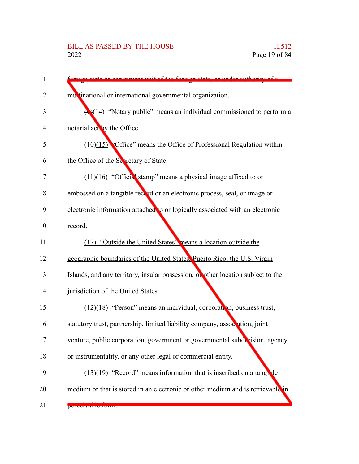# BILL AS PASSED BY THE HOUSE H.512<br>2022 Page 19 of 84

| 1      | constituent unit of the foreign state or under outhority of a                    |
|--------|----------------------------------------------------------------------------------|
| 2      | multinational or international governmental organization.                        |
| 3      | $\bigoplus (14)$ "Notary public" means an individual commissioned to perform a   |
| 4      | notarial act by the Office.                                                      |
| 5      | $(10)(15)$ Office" means the Office of Professional Regulation within            |
| 6      | the Office of the Sevetary of State.                                             |
| $\tau$ | $(11)(16)$ "Official stamp" means a physical image affixed to or                 |
| 8      | embossed on a tangible record or an electronic process, seal, or image or        |
| 9      | electronic information attached to or logically associated with an electronic    |
| 10     | record.                                                                          |
| 11     | (17) "Outside the United States" neans a location outside the                    |
| 12     | geographic boundaries of the United States, Puerto Rico, the U.S. Virgin         |
| 13     | Islands, and any territory, insular possession, or other location subject to the |
| 14     | jurisdiction of the United States.                                               |
| 15     | $(12)(18)$ "Person" means an individual, corporation, business trust,            |
| 16     | statutory trust, partnership, limited liability company, association, joint      |
| 17     | venture, public corporation, government or governmental subdivision, agency,     |
| 18     | or instrumentality, or any other legal or commercial entity.                     |
| 19     | $(13)(19)$ "Record" means information that is inscribed on a tangule             |
| 20     | medium or that is stored in an electronic or other medium and is retrievable in  |
| 21     | perceivaule furni.                                                               |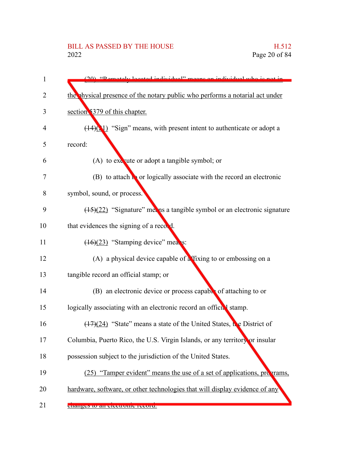| 1  | $(20)$ "Demotely located individual" means an individual who is not          |
|----|------------------------------------------------------------------------------|
| 2  | the physical presence of the notary public who performs a notarial act under |
| 3  | section 5379 of this chapter.                                                |
| 4  | $(14)(1)$ "Sign" means, with present intent to authenticate or adopt a       |
| 5  | record:                                                                      |
| 6  | (A) to execute or adopt a tangible symbol; or                                |
| 7  | $(B)$ to attach to or logically associate with the record an electronic      |
| 8  | symbol, sound, or process.                                                   |
| 9  | $(15)(22)$ "Signature" met ns a tangible symbol or an electronic signature   |
| 10 | that evidences the signing of a record.                                      |
| 11 | $(16)(23)$ "Stamping device" means:                                          |
| 12 | (A) a physical device capable of $\frac{1}{6}$ fixing to or embossing on a   |
| 13 | tangible record an official stamp; or                                        |
| 14 | (B) an electronic device or process capable of attaching to or               |
| 15 | logically associating with an electronic record an official stamp.           |
| 16 | $(17)(24)$ "State" means a state of the United States, the District of       |
| 17 | Columbia, Puerto Rico, the U.S. Virgin Islands, or any territory or insular  |
| 18 | possession subject to the jurisdiction of the United States.                 |
| 19 | (25) "Tamper evident" means the use of a set of applications, programs,      |
| 20 | hardware, software, or other technologies that will display evidence of any  |
| 21 | <b>THAIRES IO AN TIEURUME TECULU.</b>                                        |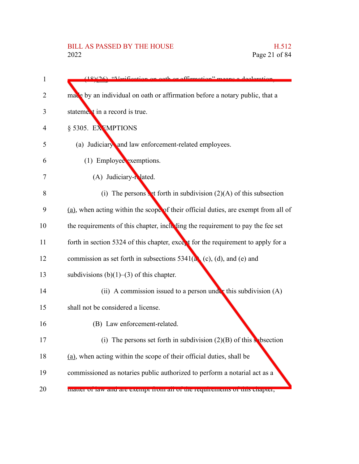# BILL AS PASSED BY THE HOUSE H.512<br>2022 Page 21 of 84

| $(18)(26)$ "Verification on oath or affirmation" means a declaration               |
|------------------------------------------------------------------------------------|
| made by an individual on oath or affirmation before a notary public, that a        |
| statement in a record is true.                                                     |
| § 5305. EXEMPTIONS                                                                 |
| (a) Judiciary and law enforcement-related employees.                               |
| (1) Employee exemptions.                                                           |
| (A) Judiciary-related.                                                             |
| (i) The persons $\bullet$ t forth in subdivision (2)(A) of this subsection         |
| (a), when acting within the scope of their official duties, are exempt from all of |
| the requirements of this chapter, including the requirement to pay the fee set     |
| forth in section 5324 of this chapter, except for the requirement to apply for a   |
| commission as set forth in subsections $5341(a)$ (c), (d), and (e) and             |
| subdivisions $(b)(1)$ – $(3)$ of this chapter.                                     |
| (ii) A commission issued to a person under this subdivision $(A)$                  |
| shall not be considered a license.                                                 |
| (B) Law enforcement-related.                                                       |
| (i) The persons set forth in subdivision $(2)(B)$ of this subsection               |
| (a), when acting within the scope of their official duties, shall be               |
| commissioned as notaries public authorized to perform a notarial act as a          |
| matter or law and are exempt from an or the requirements or this enapter,          |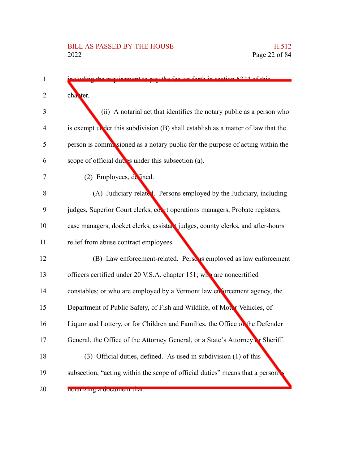| 1  | ment to nev the fee get forth in gention 5224 of this                              |
|----|------------------------------------------------------------------------------------|
| 2  | cha <sub>rter.</sub>                                                               |
| 3  | (ii) A notarial act that identifies the notary public as a person who              |
| 4  | is exempt under this subdivision $(B)$ shall establish as a matter of law that the |
| 5  | person is commissioned as a notary public for the purpose of acting within the     |
| 6  | scope of official duties under this subsection (a).                                |
| 7  | $(2)$ Employees, defined.                                                          |
| 8  | (A) Judiciary-related. Persons employed by the Judiciary, including                |
| 9  | judges, Superior Court clerks, court operations managers, Probate registers,       |
| 10 | case managers, docket clerks, assistant judges, county clerks, and after-hours     |
| 11 | relief from abuse contract employees.                                              |
| 12 | (B) Law enforcement-related. Person's employed as law enforcement                  |
| 13 | officers certified under 20 V.S.A. chapter 151; who are noncertified               |
| 14 | constables; or who are employed by a Vermont law enforcement agency, the           |
| 15 | Department of Public Safety, of Fish and Wildlife, of Motor Vehicles, of           |
| 16 | Liquor and Lottery, or for Children and Families, the Office of the Defender       |
| 17 | General, the Office of the Attorney General, or a State's Attorney or Sheriff.     |
| 18 | (3) Official duties, defined. As used in subdivision (1) of this                   |
| 19 | subsection, "acting within the scope of official duties" means that a person       |
| 20 | notarizing a document that.                                                        |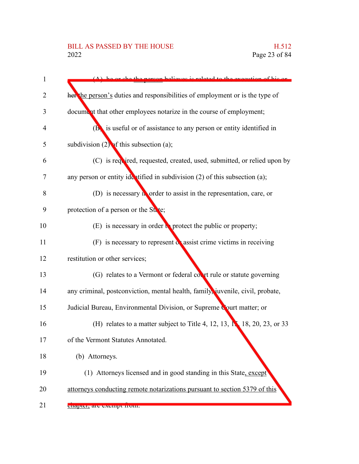# BILL AS PASSED BY THE HOUSE H.512<br>2022 Page 23 of 84

| 1              | person helieves is related to the execution of his or                              |
|----------------|------------------------------------------------------------------------------------|
| 2              | her the person's duties and responsibilities of employment or is the type of       |
| 3              | document that other employees notarize in the course of employment;                |
| $\overline{4}$ | ( <b>B</b> ) is useful or of assistance to any person or entity identified in      |
| 5              | subdivision $(2)$ of this subsection $(a)$ ;                                       |
| 6              | (C) is required, requested, created, used, submitted, or relied upon by            |
| 7              | any person or entity identified in subdivision $(2)$ of this subsection $(a)$ ;    |
| 8              | (D) is necessary <i>n</i> order to assist in the representation, care, or          |
| 9              | protection of a person or the State;                                               |
| 10             | (E) is necessary in order $\mathbf{R}$ protect the public or property;             |
| 11             | $(F)$ is necessary to represent $\alpha$ assist crime victims in receiving         |
| 12             | restitution or other services;                                                     |
| 13             | (G) relates to a Vermont or federal covert rule or statute governing               |
| 14             | any criminal, postconviction, mental health, family, juvenile, civil, probate,     |
| 15             | Judicial Bureau, Environmental Division, or Supreme Court matter; or               |
| 16             | (H) relates to a matter subject to Title 4, 12, 13, $\mathbb{N}$ 18, 20, 23, or 33 |
| 17             | of the Vermont Statutes Annotated.                                                 |
| 18             | (b) Attorneys.                                                                     |
| 19             | (1) Attorneys licensed and in good standing in this State, except                  |
| 20             | attorneys conducting remote notarizations pursuant to section 5379 of this         |
| 21             | enapier, are exempt from.                                                          |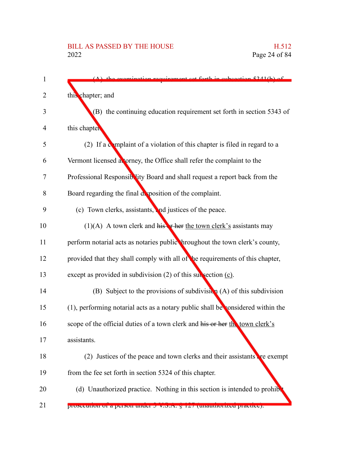| 1  | exemination requirement get forth in subsection 5241(b) of                         |
|----|------------------------------------------------------------------------------------|
| 2  | this chapter; and                                                                  |
| 3  | (B) the continuing education requirement set forth in section 5343 of              |
| 4  | this chapter                                                                       |
| 5  | (2) If a complaint of a violation of this chapter is filed in regard to a          |
| 6  | Vermont licensed atorney, the Office shall refer the complaint to the              |
| 7  | Professional Responsiblity Board and shall request a report back from the          |
| 8  | Board regarding the final deposition of the complaint.                             |
| 9  | (c) Town clerks, assistants, and justices of the peace.                            |
| 10 | $(1)(A)$ A town clerk and histariant the town clerk's assistants may               |
| 11 | perform notarial acts as notaries public hroughout the town clerk's county,        |
| 12 | provided that they shall comply with all of the requirements of this chapter,      |
| 13 | except as provided in subdivision $(2)$ of this subsection $(c)$ .                 |
| 14 | (B) Subject to the provisions of subdivision $(A)$ of this subdivision             |
| 15 | $(1)$ , performing notarial acts as a notary public shall be considered within the |
| 16 | scope of the official duties of a town clerk and his or her the town clerk's       |
| 17 | assistants.                                                                        |
| 18 | (2) Justices of the peace and town clerks and their assistants are exempt          |
| 19 | from the fee set forth in section 5324 of this chapter.                            |
| 20 | (d) Unauthorized practice. Nothing in this section is intended to prohib           |
| 21 | prosecution or a person under 5 v.S.A. y 12/ (unauthorized practice).              |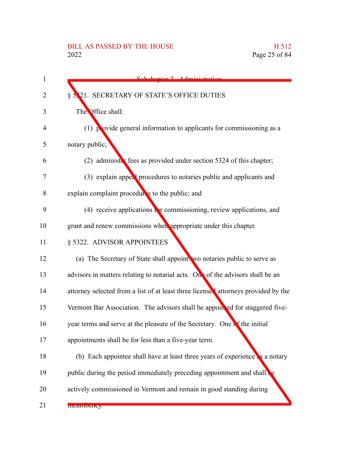# BILL AS PASSED BY THE HOUSE H.512<br>2022 Page 25 of 84

| Subchaptor 7 Administration                                                        |
|------------------------------------------------------------------------------------|
| § 5.21. SECRETARY OF STATE'S OFFICE DUTIES                                         |
| The Office shall:                                                                  |
| $(1)$ provide general information to applicants for commissioning as a             |
| notary public;                                                                     |
| (2) administer fees as provided under section $5324$ of this chapter;              |
| (3) explain appeal procedures to notaries public and applicants and                |
| explain complaint procedures to the public; and                                    |
| (4) receive applications $\Gamma$ r commissioning, review applications, and        |
| grant and renew commissions when appropriate under this chapter.                   |
| § 5322. ADVISOR APPOINTEES                                                         |
| (a) The Secretary of State shall appoint wo notaries public to serve as            |
| advisors in matters relating to notarial acts. On of the advisors shall be an      |
| attorney selected from a list of at least three licensed attorneys provided by the |
| Vermont Bar Association. The advisors shall be appointed for staggered five-       |
| year terms and serve at the pleasure of the Secretary. One of the initial          |
| appointments shall be for less than a five-year term.                              |
| (b) Each appointee shall have at least three years of experience as a notary       |
| public during the period immediately preceding appointment and shall               |
| actively commissioned in Vermont and remain in good standing during                |
| meumoeney.                                                                         |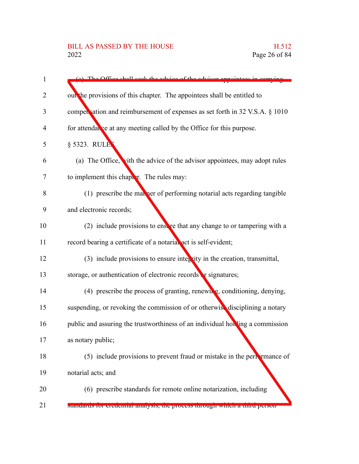| $\mathbf{1}$   | (a) The Office shall seek the advice of the advisor ann                       |
|----------------|-------------------------------------------------------------------------------|
| 2              | out the provisions of this chapter. The appointees shall be entitled to       |
| 3              | compensation and reimbursement of expenses as set forth in 32 V.S.A. § 1010   |
| $\overline{4}$ | for attendal se at any meeting called by the Office for this purpose.         |
| 5              | § 5323. RULE                                                                  |
| 6              | (a) The Office, vith the advice of the advisor appointees, may adopt rules    |
| 7              | to implement this chapter. The rules may:                                     |
| 8              | (1) prescribe the man ner of performing notarial acts regarding tangible      |
| 9              | and electronic records;                                                       |
| 10             | (2) include provisions to ensere that any change to or tampering with a       |
| 11             | record bearing a certificate of a notarial act is self-evident;               |
| 12             | $(3)$ include provisions to ensure integrity in the creation, transmittal,    |
| 13             | storage, or authentication of electronic records or signatures;               |
| 14             | (4) prescribe the process of granting, renewing, conditioning, denying,       |
| 15             | suspending, or revoking the commission of or otherwise disciplining a notary  |
| 16             | public and assuring the trustworthiness of an individual holding a commission |
| 17             | as notary public;                                                             |
| 18             | $(5)$ include provisions to prevent fraud or mistake in the perturbance of    |
| 19             | notarial acts; and                                                            |
| 20             | (6) prescribe standards for remote online notarization, including             |
| 21             | stanuarus for creuential analysis, the process un'ough which a timu person    |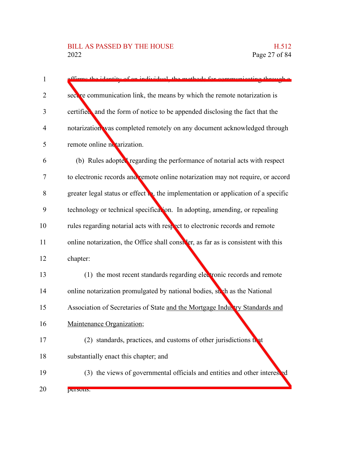| 1              | the identity of an individual, the methods for communicating through                       |
|----------------|--------------------------------------------------------------------------------------------|
| 2              | sect re communication link, the means by which the remote notarization is                  |
| 3              | certified and the form of notice to be appended disclosing the fact that the               |
| $\overline{4}$ | notarization was completed remotely on any document acknowledged through                   |
| 5              | remote online netarization.                                                                |
| 6              | (b) Rules adopted regarding the performance of notarial acts with respect                  |
| 7              | to electronic records and remote online notarization may not require, or accord            |
| 8              | greater legal status or effect $\bullet$ , the implementation or application of a specific |
| 9              | technology or technical specification. In adopting, amending, or repealing                 |
| 10             | rules regarding notarial acts with respect to electronic records and remote                |
| 11             | online notarization, the Office shall consider, as far as is consistent with this          |
| 12             | chapter:                                                                                   |
| 13             | (1) the most recent standards regarding electronic records and remote                      |
| 14             | online notarization promulgated by national bodies, such as the National                   |
| 15             | Association of Secretaries of State and the Mortgage Indux try Standards and               |
| 16             | Maintenance Organization;                                                                  |
| 17             | (2) standards, practices, and customs of other jurisdictions that                          |
| 18             | substantially enact this chapter; and                                                      |
| 19             | (3) the views of governmental officials and entities and other interested                  |
| 20             | <b>PULSUIIS.</b>                                                                           |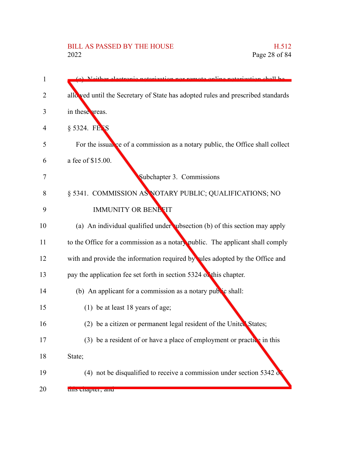# BILL AS PASSED BY THE HOUSE H.512<br>2022 Page 28 of 84

| 1  | a notorization shall ha                                                          |
|----|----------------------------------------------------------------------------------|
| 2  | allo ved until the Secretary of State has adopted rules and prescribed standards |
|    |                                                                                  |
| 3  | in these areas.                                                                  |
| 4  | § 5324. FETS                                                                     |
| 5  | For the issual ce of a commission as a notary public, the Office shall collect   |
| 6  | a fee of \$15.00.                                                                |
| 7  | Subchapter 3. Commissions                                                        |
| 8  | § 5341. COMMISSION AS NOTARY PUBLIC; QUALIFICATIONS; NO                          |
| 9  | <b>IMMUNITY OR BENETIT</b>                                                       |
| 10 | (a) An individual qualified under ubsection (b) of this section may apply        |
| 11 | to the Office for a commission as a notary public. The applicant shall comply    |
| 12 | with and provide the information required by ules adopted by the Office and      |
| 13 | pay the application fee set forth in section 5324 of this chapter.               |
| 14 | (b) An applicant for a commission as a notary public shall:                      |
| 15 | (1) be at least 18 years of age;                                                 |
| 16 | (2) be a citizen or permanent legal resident of the United States;               |
| 17 | (3) be a resident of or have a place of employment or practice in this           |
| 18 | State;                                                                           |
| 19 | (4) not be disqualified to receive a commission under section $5342$             |
| 20 | uns chapter, and                                                                 |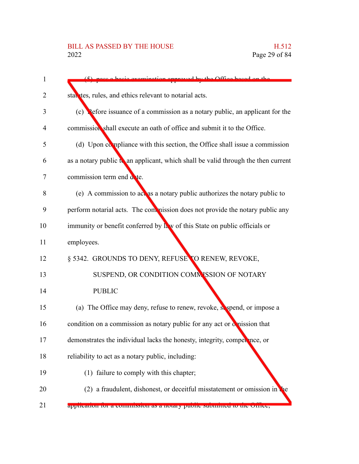| $\mathbf{1}$ | pace a basic examination approved by the Office based on the                      |
|--------------|-----------------------------------------------------------------------------------|
| 2            | statutes, rules, and ethics relevant to notarial acts.                            |
| 3            | (c) Pefore issuance of a commission as a notary public, an applicant for the      |
| 4            | commission shall execute an oath of office and submit it to the Office.           |
| 5            | (d) Upon compliance with this section, the Office shall issue a commission        |
| 6            | as a notary public to an applicant, which shall be valid through the then current |
| 7            | commission term end a te.                                                         |
| 8            | (e) A commission to act as a notary public authorizes the notary public to        |
| 9            | perform notarial acts. The commission does not provide the notary public any      |
| 10           | immunity or benefit conferred by law of this State on public officials or         |
| 11           | employees.                                                                        |
| 12           | § 5342. GROUNDS TO DENY, REFUSE TO RENEW, REVOKE,                                 |
| 13           | SUSPEND, OR CONDITION COMMISSION OF NOTARY                                        |
| 14           | <b>PUBLIC</b>                                                                     |
| 15           | (a) The Office may deny, refuse to renew, revoke, sespend, or impose a            |
| 16           | condition on a commission as notary public for any act or omission that           |
| 17           | demonstrates the individual lacks the honesty, integrity, competence, or          |
| 18           | reliability to act as a notary public, including:                                 |
| 19           | (1) failure to comply with this chapter;                                          |
| 20           | (2) a fraudulent, dishonest, or deceitful misstatement or omission in             |
| 21           | application for a commission as a hotaly public submitted to the Office,          |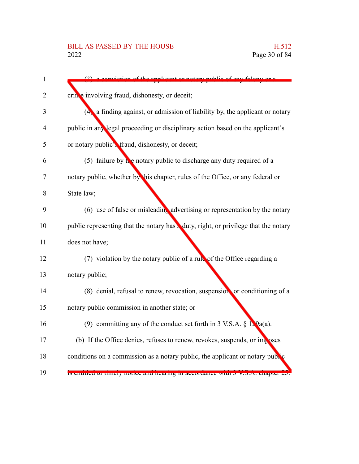| $\mathbf{1}$   | iction of the applicant or notary public of any folony                              |
|----------------|-------------------------------------------------------------------------------------|
| 2              | cring involving fraud, dishonesty, or deceit;                                       |
| 3              | $(4)$ a finding against, or admission of liability by, the applicant or notary      |
| $\overline{4}$ | public in any legal proceeding or disciplinary action based on the applicant's      |
| 5              | or notary public <sup>*</sup> fraud, dishonesty, or deceit;                         |
| 6              | (5) failure by $\mathbf{t}$ e notary public to discharge any duty required of a     |
| 7              | notary public, whether by this chapter, rules of the Office, or any federal or      |
| 8              | State law;                                                                          |
| 9              | (6) use of false or misleading advertising or representation by the notary          |
| 10             | public representing that the notary has a duty, right, or privilege that the notary |
| 11             | does not have;                                                                      |
| 12             | $(7)$ violation by the notary public of a rubble of the Office regarding a          |
| 13             | notary public;                                                                      |
| 14             | (8) denial, refusal to renew, revocation, suspension or conditioning of a           |
| 15             | notary public commission in another state; or                                       |
| 16             | (9) committing any of the conduct set forth in 3 V.S.A. $\S$ 1. $9a(a)$ .           |
| 17             | (b) If the Office denies, refuses to renew, revokes, suspends, or imposes           |
| 18             | conditions on a commission as a notary public, the applicant or notary public       |
| 19             | is entitied to thriefy notice and nearing in accordance with 5 v.S.A. chapter 25.   |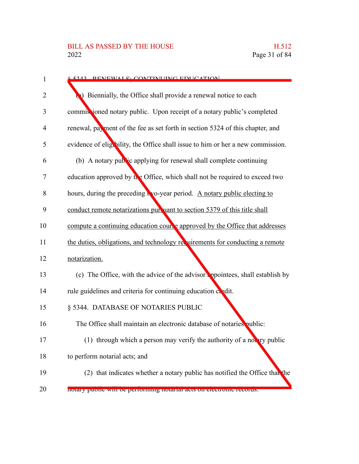| 1 | <u> 8.4242 - DENEWAL S. CONTINI IING EDHCATION</u>                              |
|---|---------------------------------------------------------------------------------|
| 2 | Biennially, the Office shall provide a renewal notice to each                   |
| 3 | commissioned notary public. Upon receipt of a notary public's completed         |
| 4 | renewal, payment of the fee as set forth in section 5324 of this chapter, and   |
| 5 | evidence of eligibility, the Office shall issue to him or her a new commission. |
|   | (b) A notary public applying for renewal shall complete continuing              |
|   | education approved by the Office, which shall not be required to exceed two     |
|   | hours, during the preceding two-year period. A notary public electing to        |
|   | conduct remote notarizations pur uant to section 5379 of this title shall       |
|   | compute a continuing education course approved by the Office that addresses     |
|   | the duties, obligations, and technology requirements for conducting a remote    |
|   | notarization.                                                                   |
|   | (c) The Office, with the advice of the advisor appointees, shall establish by   |
|   | rule guidelines and criteria for continuing education chedit.                   |
|   | § 5344. DATABASE OF NOTARIES PUBLIC                                             |
|   | The Office shall maintain an electronic database of notaries public:            |
|   | (1) through which a person may verify the authority of a notary public          |
|   | to perform notarial acts; and                                                   |
|   | (2) that indicates whether a notary public has notified the Office than the     |
|   | notary public will be performing notarial acts on electronic records.           |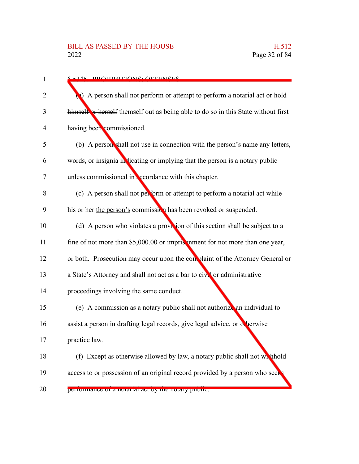| $\mathbf{1}$   | 8 5245 DDAHIDITIANG. AFFENGES                                                      |
|----------------|------------------------------------------------------------------------------------|
| 2              | A person shall not perform or attempt to perform a notarial act or hold            |
| 3              | himself or herself themself out as being able to do so in this State without first |
| $\overline{4}$ | having been commissioned.                                                          |
| 5              | (b) A person shall not use in connection with the person's name any letters,       |
| 6              | words, or insignia in licating or implying that the person is a notary public      |
| 7              | unless commissioned in coordance with this chapter.                                |
| 8              | (c) A person shall not perform or attempt to perform a notarial act while          |
| 9              | his or her the person's commission has been revoked or suspended.                  |
| 10             | (d) A person who violates a provision of this section shall be subject to a        |
| 11             | fine of not more than \$5,000.00 or imprisonment for not more than one year,       |
| 12             | or both. Prosecution may occur upon the con plaint of the Attorney General or      |
| 13             | a State's Attorney and shall not act as a bar to civil or administrative           |
| 14             | proceedings involving the same conduct.                                            |
| 15             | (e) A commission as a notary public shall not authorize an individual to           |
| 16             | assist a person in drafting legal records, give legal advice, or otherwise         |
| 17             | practice law.                                                                      |
| 18             | (f) Except as otherwise allowed by law, a notary public shall not which hold       |
| 19             | access to or possession of an original record provided by a person who seek        |
| 20             | performance of a notatial act by the notary public.                                |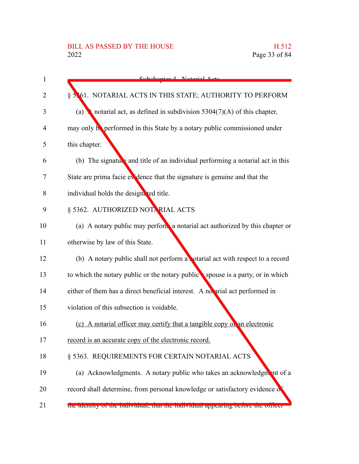| $\mathbf{1}$ | $Subchantar A$ Notarial $A$ otc                                                |
|--------------|--------------------------------------------------------------------------------|
| 2            | § 5.61. NOTARIAL ACTS IN THIS STATE; AUTHORITY TO PERFORM                      |
| 3            | notarial act, as defined in subdivision $5304(7)(A)$ of this chapter,<br>(a)   |
| 4            | may only be performed in this State by a notary public commissioned under      |
| 5            | this chapter.                                                                  |
| 6            | (b) The signature and title of an individual performing a notarial act in this |
| 7            | State are prima facie evidence that the signature is genuine and that the      |
| 8            | individual holds the designated title.                                         |
| 9            | § 5362. AUTHORIZED NOTA RIAL ACTS                                              |
| 10           | (a) A notary public may perform a notarial act authorized by this chapter or   |
| 11           | otherwise by law of this State.                                                |
| 12           | (b) A notary public shall not perform a potarial act with respect to a record  |
| 13           | to which the notary public or the notary public spouse is a party, or in which |
| 14           | either of them has a direct beneficial interest. A no arial act performed in   |
| 15           | violation of this subsection is voidable.                                      |
| 16           | (c) A notarial officer may certify that a tangible copy of an electronic       |
| 17           | record is an accurate copy of the electronic record.                           |
| 18           | § 5363. REQUIREMENTS FOR CERTAIN NOTARIAL ACTS                                 |
| 19           | (a) Acknowledgments. A notary public who takes an acknowledgment of a          |
| 20           | record shall determine, from personal knowledge or satisfactory evidence of    |
| 21           | the fuentity of the murvidual, that the murvidual appearing before the officer |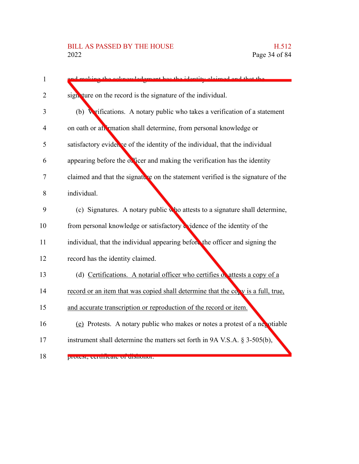# BILL AS PASSED BY THE HOUSE H.512<br>2022 Page 34 of 84

| $\mathbf{1}$   | aking the ecknowledgment has the identity claimed and that the                      |
|----------------|-------------------------------------------------------------------------------------|
| $\overline{2}$ | sign ture on the record is the signature of the individual.                         |
| 3              | <b>Wrifications.</b> A notary public who takes a verification of a statement<br>(b) |
| 4              | on oath or an <i>r</i> mation shall determine, from personal knowledge or           |
| 5              | satisfactory evidence of the identity of the individual, that the individual        |
| 6              | appearing before the officer and making the verification has the identity           |
| 7              | claimed and that the signature on the statement verified is the signature of the    |
| 8              | individual.                                                                         |
| 9              | (c) Signatures. A notary public who attests to a signature shall determine,         |
| 10             | from personal knowledge or satisfactory cridence of the identity of the             |
| 11             | individual, that the individual appearing before the officer and signing the        |
| 12             | record has the identity claimed.                                                    |
| 13             | (d) Certifications. A notarial officer who certifies of attests a copy of a         |
| 14             | record or an item that was copied shall determine that the co, v is a full, true,   |
| 15             | and accurate transcription or reproduction of the record or item.                   |
| 16             | (e) Protests. A notary public who makes or notes a protest of a negotiable          |
| 17             | instrument shall determine the matters set forth in 9A V.S.A. $\S$ 3-505(b),        |
| 18             | protest, certificate of uishonor.                                                   |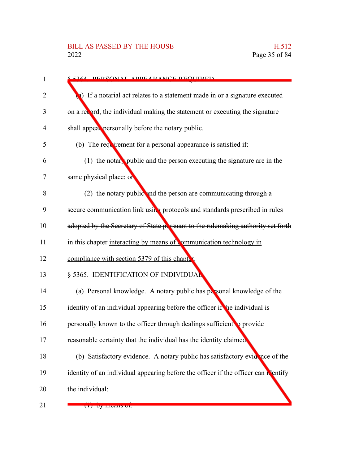### BILL AS PASSED BY THE HOUSE H.512<br>2022 Page 35 of 84

| 1  | <u>s 5264 DEDSONAL ADDEADANCE DEOLIIDED</u>                                       |
|----|-----------------------------------------------------------------------------------|
| 2  | 1) If a notarial act relates to a statement made in or a signature executed       |
| 3  | on a record, the individual making the statement or executing the signature       |
| 4  | shall appeal personally before the notary public.                                 |
| 5  | (b) The requirement for a personal appearance is satisfied if:                    |
| 6  | (1) the notary public and the person executing the signature are in the           |
| 7  | same physical place; or                                                           |
| 8  | (2) the notary public and the person are communicating through $a$                |
| 9  | secure communication link using protocols and standards prescribed in rules       |
| 10 | adopted by the Secretary of State persuant to the rulemaking authority set forth  |
| 11 | in this chapter interacting by means of mmunication technology in                 |
| 12 | compliance with section 5379 of this chapter.                                     |
| 13 | § 5365. IDENTIFICATION OF INDIVIDUAL                                              |
| 14 | (a) Personal knowledge. A notary public has personal knowledge of the             |
| 15 | identity of an individual appearing before the officer if the individual is       |
| 16 | personally known to the officer through dealings sufficient to provide            |
| 17 | reasonable certainty that the individual has the identity claimed.                |
| 18 | (b) Satisfactory evidence. A notary public has satisfactory evidence of the       |
| 19 | identity of an individual appearing before the officer if the officer can Nentify |
| 20 | the individual:                                                                   |
| 21 | $(1)$ by incalls of.                                                              |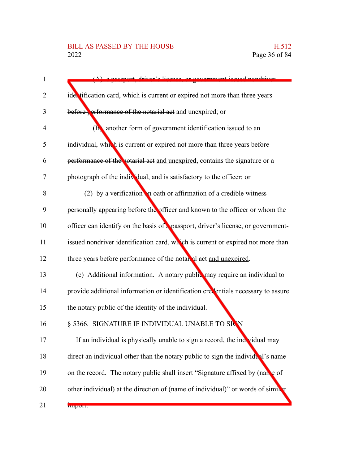#### BILL AS PASSED BY THE HOUSE H.512<br>2022 Page 36 of 84

| 1  | (A) a necepart driver's ligance or covernment issued nandriver                    |
|----|-----------------------------------------------------------------------------------|
| 2  | ider tification card, which is current or expired not more than three years       |
| 3  | before, erformance of the notarial act and unexpired; or                          |
| 4  | ( <b>B</b> ) another form of government identification issued to an               |
| 5  | individual, which is current or expired not more than three years before          |
| 6  | performance of the notarial act and unexpired, contains the signature or a        |
| 7  | photograph of the individual, and is satisfactory to the officer; or              |
| 8  | (2) by a verification in oath or affirmation of a credible witness                |
| 9  | personally appearing before the officer and known to the officer or whom the      |
| 10 | officer can identify on the basis of a passport, driver's license, or government- |
| 11 | issued nondriver identification card, which is current or expired not more than   |
| 12 | three years before performance of the notar al act and unexpired.                 |
| 13 | (c) Additional information. A notary public may require an individual to          |
| 14 | provide additional information or identification creventials necessary to assure  |
| 15 | the notary public of the identity of the individual.                              |
| 16 | § 5366. SIGNATURE IF INDIVIDUAL UNABLE TO SIGN                                    |
| 17 | If an individual is physically unable to sign a record, the individual may        |
| 18 | direct an individual other than the notary public to sign the individual's name   |
| 19 | on the record. The notary public shall insert "Signature affixed by (name of      |
| 20 | other individual) at the direction of (name of individual)" or words of similar   |
| 21 | miport.                                                                           |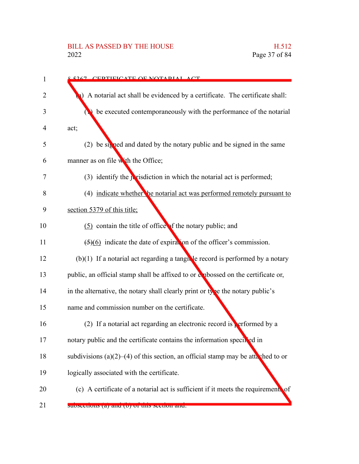### BILL AS PASSED BY THE HOUSE H.512<br>2022 Page 37 of 84

| 5267 CEDTIFICATE OF NOTADIAL ACT                                                        |
|-----------------------------------------------------------------------------------------|
| A notarial act shall be evidenced by a certificate. The certificate shall:              |
| be executed contemporaneously with the performance of the notarial                      |
| act;                                                                                    |
| (2) be signed and dated by the notary public and be signed in the same                  |
| manner as on file with the Office;                                                      |
| $(3)$ identify the jurisdiction in which the notarial act is performed;                 |
| (4) indicate whether he notarial act was performed remotely pursuant to                 |
| section 5379 of this title;                                                             |
| (5) contain the title of office of the notary public; and                               |
| $\left(\frac{5}{6}\right)$ indicate the date of expiration of the officer's commission. |
| $(b)(1)$ If a notarial act regarding a tangular ecord is performed by a notary          |
| public, an official stamp shall be affixed to or explossed on the certificate or,       |
| in the alternative, the notary shall clearly print or type the notary public's          |
| name and commission number on the certificate.                                          |
| (2) If a notarial act regarding an electronic record is performed by a                  |
| notary public and the certificate contains the information specified in                 |
| subdivisions (a)(2)–(4) of this section, an official stamp may be attached to or        |
| logically associated with the certificate.                                              |
| (c) A certificate of a notarial act is sufficient if it meets the requirement. of       |
| suoseettons (a) and (o) of this section and.                                            |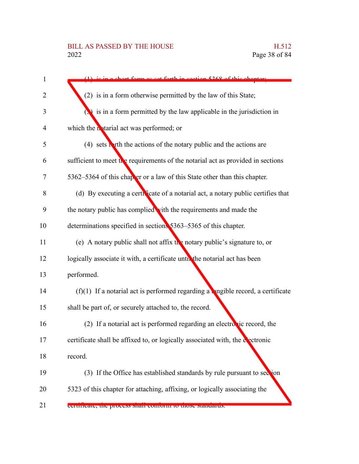### BILL AS PASSED BY THE HOUSE H.512<br>2022 Page 38 of 84

| as set forth in section 5268 of this chanter                                     |
|----------------------------------------------------------------------------------|
| (2) is in a form otherwise permitted by the law of this State;                   |
| is in a form permitted by the law applicable in the jurisdiction in              |
| which the notarial act was performed; or                                         |
| $(4)$ sets both the actions of the notary public and the actions are             |
| sufficient to meet the requirements of the notarial act as provided in sections  |
| 5362–5364 of this chapter or a law of this State other than this chapter.        |
| (d) By executing a certic cate of a notarial act, a notary public certifies that |
| the notary public has complied with the requirements and made the                |
| determinations specified in sections 5363-5365 of this chapter.                  |
| (e) A notary public shall not affix the notary public's signature to, or         |
| logically associate it with, a certificate until the notarial act has been       |
| performed.                                                                       |
| (f)(1) If a notarial act is performed regarding a langible record, a certificate |
| shall be part of, or securely attached to, the record.                           |
| (2) If a notarial act is performed regarding an electronic record, the           |
| certificate shall be affixed to, or logically associated with, the electronic    |
| record.                                                                          |
| (3) If the Office has established standards by rule pursuant to section          |
| 5323 of this chapter for attaching, affixing, or logically associating the       |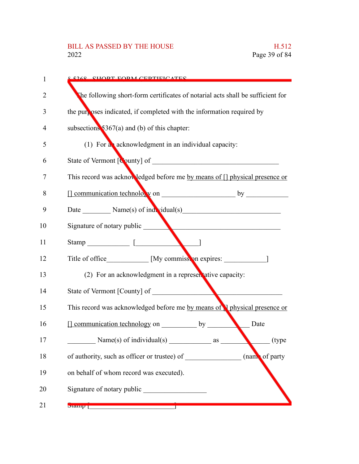### BILL AS PASSED BY THE HOUSE H.512<br>2022 Page 39 of 84

| 1  | 5268 CHOPT FORM CEPTIFICATES                                                                                                                                                                                                              |
|----|-------------------------------------------------------------------------------------------------------------------------------------------------------------------------------------------------------------------------------------------|
| 2  | The following short-form certificates of notarial acts shall be sufficient for                                                                                                                                                            |
| 3  | the purposes indicated, if completed with the information required by                                                                                                                                                                     |
| 4  | subsections $5367(a)$ and (b) of this chapter:                                                                                                                                                                                            |
| 5  | (1) For a acknowledgment in an individual capacity:                                                                                                                                                                                       |
| 6  |                                                                                                                                                                                                                                           |
| 7  | This record was acknowledged before me by means of [] physical presence or                                                                                                                                                                |
| 8  |                                                                                                                                                                                                                                           |
| 9  | Date Mame(s) of individual(s)                                                                                                                                                                                                             |
| 10 | Signature of notary public                                                                                                                                                                                                                |
| 11 | Stamp <b>contract and the contract of the contract of the contract of the contract of the contract of the contract of the contract of the contract of the contract of the contract of the contract of the contract of the contra</b>      |
| 12 | Title of office [My commission expires: 1333]                                                                                                                                                                                             |
| 13 | (2) For an acknowledgment in a representative capacity:                                                                                                                                                                                   |
| 14 | State of Vermont [County] of                                                                                                                                                                                                              |
| 15 | This record was acknowledged before me by means of I physical presence or                                                                                                                                                                 |
| 16 | $\Box$ communication technology on by<br>Date                                                                                                                                                                                             |
| 17 | Name $(s)$ of individual $(s)$<br>(type<br>as                                                                                                                                                                                             |
| 18 | (name of party<br>of authority, such as officer or trustee) of                                                                                                                                                                            |
| 19 | on behalf of whom record was executed).                                                                                                                                                                                                   |
| 20 | Signature of notary public <b>example 2</b>                                                                                                                                                                                               |
| 21 | <b>Dramp</b>   <b>William   William   William   William   William   William   William   William   William   William   William   William   William   William   William   William   William   William   William   William   William   W</b> |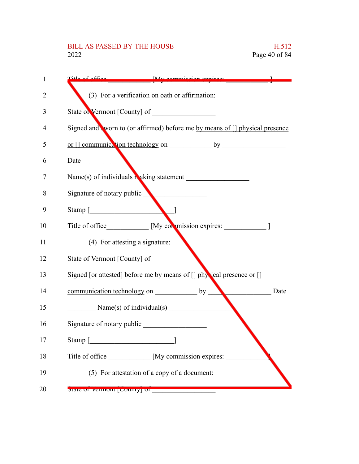# BILL AS PASSED BY THE HOUSE H.512<br>2022 Page 40 of 84

| 1  | Title of office My commission evolves:                                      |
|----|-----------------------------------------------------------------------------|
| 2  | (3) For a verification on oath or affirmation:                              |
| 3  |                                                                             |
| 4  | Signed and worn to (or affirmed) before me by means of [] physical presence |
| 5  |                                                                             |
| 6  | Date                                                                        |
| 7  |                                                                             |
| 8  | Signature of notary public                                                  |
| 9  | Stamp [                                                                     |
| 10 | Title of office [My commission expires: 1]                                  |
| 11 | (4) For attesting a signature:                                              |
| 12 | State of Vermont [County] of                                                |
| 13 | Signed [or attested] before me by means of [] physical presence or []       |
| 14 | communication technology on by<br>Date                                      |
| 15 | $Name(s)$ of individual(s)                                                  |
| 16 | Signature of notary public                                                  |
| 17 | Stamp [                                                                     |
| 18 | [My commission expires:<br>Title of office                                  |
| 19 | (5) For attestation of a copy of a document:                                |
| 20 | <b>DIAIU UI VULLIIOIII   COUIIIV   UI</b>                                   |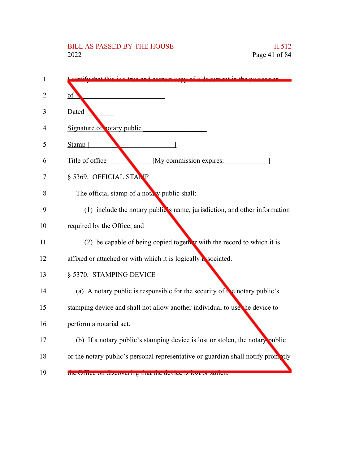# BILL AS PASSED BY THE HOUSE H.512<br>2022 Page 41 of 84

| 1  |                                                                                  |
|----|----------------------------------------------------------------------------------|
| 2  | οt                                                                               |
| 3  | Dated                                                                            |
| 4  | Signature of <b>potary</b> public                                                |
| 5  | Stamp [                                                                          |
| 6  | Title of office<br>[My commission expires:                                       |
| 7  | § 5369. OFFICIAL STANP                                                           |
| 8  | The official stamp of a notally public shall:                                    |
| 9  | (1) include the notary public's name, jurisdiction, and other information        |
| 10 | required by the Office; and                                                      |
| 11 | (2) be capable of being copied together with the record to which it is           |
| 12 | affixed or attached or with which it is logically associated.                    |
| 13 | § 5370. STAMPING DEVICE                                                          |
| 14 | (a) A notary public is responsible for the security of the notary public's       |
| 15 | stamping device and shall not allow another individual to use the device to      |
| 16 | perform a notarial act.                                                          |
| 17 | (b) If a notary public's stamping device is lost or stolen, the notary public    |
| 18 | or the notary public's personal representative or guardian shall notify promatly |
| 19 | the Office on discovering that the device is lost of stolen.                     |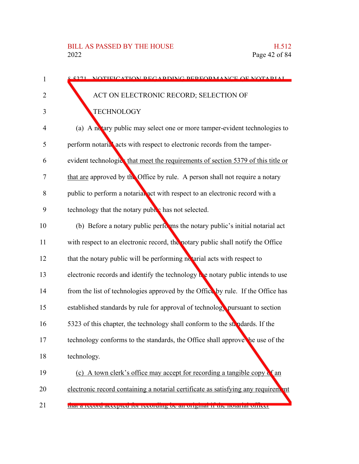| 5271 NOTIFICATION DECADDING DEDEOPMANCE OF NOTADIAL                                        |
|--------------------------------------------------------------------------------------------|
| ACT ON ELECTRONIC RECORD; SELECTION OF                                                     |
| <b>TECHNOLOGY</b>                                                                          |
| (a) A notary public may select one or more tamper-evident technologies to                  |
| perform notarial acts with respect to electronic records from the tamper-                  |
| evident technologics that meet the requirements of section 5379 of this title or           |
| that are approved by the Office by rule. A person shall not require a notary               |
| public to perform a notarial act with respect to an electronic record with a               |
| technology that the notary puble has not selected.                                         |
| (b) Before a notary public performs the notary public's initial notarial act               |
| with respect to an electronic record, the notary public shall notify the Office            |
| that the notary public will be performing notarial acts with respect to                    |
| electronic records and identify the technology $\mathbf{t}$ e notary public intends to use |
| from the list of technologies approved by the Office by rule. If the Office has            |
| established standards by rule for approval of technology pursuant to section               |
| 5323 of this chapter, the technology shall conform to the standards. If the                |
| technology conforms to the standards, the Office shall approve the use of the              |
| technology.                                                                                |
| (c) A town clerk's office may accept for recording a tangible copy of an                   |
| electronic record containing a notarial certificate as satisfying any requirement          |
| that a record accepted for recording oe an original in the hotarial officer                |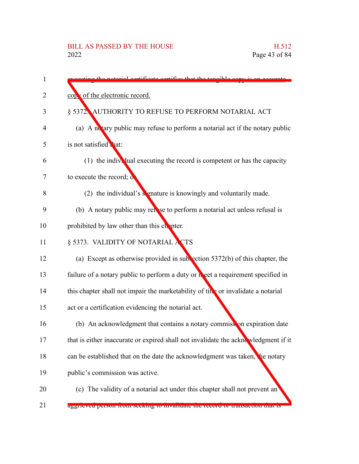| 1  | starial certificate certifies that the tangible convict                            |
|----|------------------------------------------------------------------------------------|
| 2  | copy of the electronic record.                                                     |
| 3  | § 5372. AUTHORITY TO REFUSE TO PERFORM NOTARIAL ACT                                |
| 4  | (a) A notary public may refuse to perform a notarial act if the notary public      |
| 5  | is not satisfied that:                                                             |
| 6  | (1) the individual executing the record is competent or has the capacity           |
| 7  | to execute the record; of                                                          |
| 8  | (2) the individual's signature is knowingly and voluntarily made.                  |
| 9  | (b) A notary public may refer to perform a notarial act unless refusal is          |
| 10 | prohibited by law other than this chopter.                                         |
| 11 | § 5373. VALIDITY OF NOTARIAL ACTS                                                  |
| 12 | (a) Except as otherwise provided in subsection $5372(b)$ of this chapter, the      |
| 13 | failure of a notary public to perform a duty or neet a requirement specified in    |
| 14 | this chapter shall not impair the marketability of title or invalidate a notarial  |
| 15 | act or a certification evidencing the notarial act.                                |
| 16 | (b) An acknowledgment that contains a notary commission expiration date            |
| 17 | that is either inaccurate or expired shall not invalidate the acknowledgment if it |
| 18 | can be established that on the date the acknowledgment was taken, the notary       |
| 19 | public's commission was active.                                                    |
| 20 | (c) The validity of a notarial act under this chapter shall not prevent an         |
| 21 | aggrieved person from seeking to invandate the record of transaction that is       |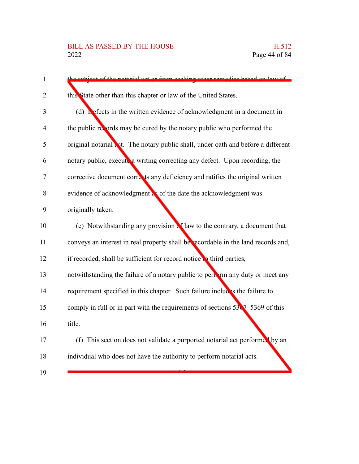| $\mathbf{1}$   | g other remedies hesed on law of<br>ot of the noterial get or from cooki                |
|----------------|-----------------------------------------------------------------------------------------|
| $\overline{2}$ | this State other than this chapter or law of the United States.                         |
| 3              | (d) Lefects in the written evidence of acknowledgment in a document in                  |
| $\overline{4}$ | the public records may be cured by the notary public who performed the                  |
| 5              | original notarial act. The notary public shall, under oath and before a different       |
| 6              | notary public, execute a writing correcting any defect. Upon recording, the             |
| 7              | corrective document corrects any deficiency and ratifies the original written           |
| 8              | evidence of acknowledgment as of the date the acknowledgment was                        |
| 9              | originally taken.                                                                       |
| 10             | (e) Notwithstanding any provision of law to the contrary, a document that               |
| 11             | conveys an interest in real property shall be recordable in the land records and,       |
| 12             | if recorded, shall be sufficient for record notice to third parties,                    |
| 13             | notwithstanding the failure of a notary public to pertain any duty or meet any          |
| 14             | requirement specified in this chapter. Such failure includes the failure to             |
| 15             | comply in full or in part with the requirements of sections $53\sqrt{7} - 5369$ of this |
| 16             | title.                                                                                  |
| 17             | (f) This section does not validate a purported notarial act performed by an             |
| 18             | individual who does not have the authority to perform notarial acts.                    |
| 19             |                                                                                         |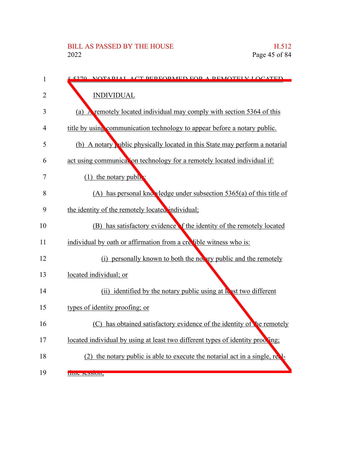| $\mathbf{1}$   | <u>s 5270 - NOTADIAL ACT DEDEODMED EOD A DEMOTELV LOCATED.</u>                 |
|----------------|--------------------------------------------------------------------------------|
| 2              | <b>INDIVIDUAL</b>                                                              |
| 3              | (a) A remotely located individual may comply with section 5364 of this         |
| $\overline{4}$ | title by using communication technology to appear before a notary public.      |
| 5              | (b) A notary which physically located in this State may perform a notarial     |
| 6              | act using communication technology for a remotely located individual if:       |
| 7              | $(1)$ the notary public                                                        |
| 8              | (A) has personal knowledge under subsection $5365(a)$ of this title of         |
| 9              | the identity of the remotely located individual;                               |
| 10             | (B) has satisfactory evidence f the identity of the remotely located           |
| 11             | individual by oath or affirmation from a credible witness who is:              |
| 12             | (i) personally known to both the notary public and the remotely                |
| 13             | located individual; or                                                         |
| 14             | (ii) identified by the notary public using at least two different              |
| 15             | types of identity proofing; or                                                 |
| 16             | (C) has obtained satisfactory evidence of the identity of the remotely         |
| 17             | located individual by using at least two different types of identity proofing; |
| 18             | (2) the notary public is able to execute the notarial act in a single, re.     |
| 19             | three session,                                                                 |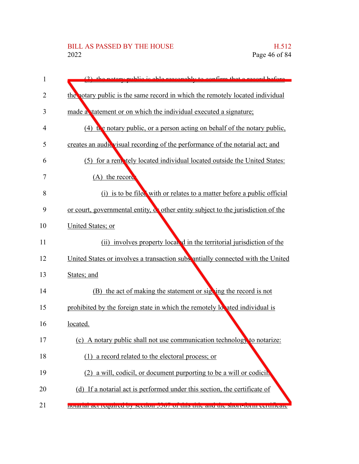| 1  | public is able reasonably to confirm that a record before                               |
|----|-----------------------------------------------------------------------------------------|
| 2  | the notary public is the same record in which the remotely located individual           |
| 3  | made a statement or on which the individual executed a signature;                       |
| 4  | (4) the notary public, or a person acting on behalf of the notary public,               |
| 5  | creates an audic visual recording of the performance of the notarial act; and           |
| 6  | (5) for a remotely located individual located outside the United States:                |
| 7  | $(A)$ the record                                                                        |
| 8  | (i) is to be filed with or relates to a matter before a public official                 |
| 9  | or court, governmental entity, $\alpha$ other entity subject to the jurisdiction of the |
| 10 | United States; or                                                                       |
| 11 | (ii) involves property local d in the territorial jurisdiction of the                   |
| 12 | United States or involves a transaction subs antially connected with the United         |
| 13 | States; and                                                                             |
| 14 | (B) the act of making the statement or signing the record is not                        |
| 15 | prohibited by the foreign state in which the remotely located individual is             |
| 16 | located.                                                                                |
| 17 | (c) A notary public shall not use communication technology to notarize:                 |
| 18 | (1) a record related to the electoral process; or                                       |
| 19 | (2) a will, codicil, or document purporting to be a will or codicil.                    |
| 20 | (d) If a notarial act is performed under this section, the certificate of               |
| 21 | notarial act required by secuon 5507 or this title and the short-roun certificate       |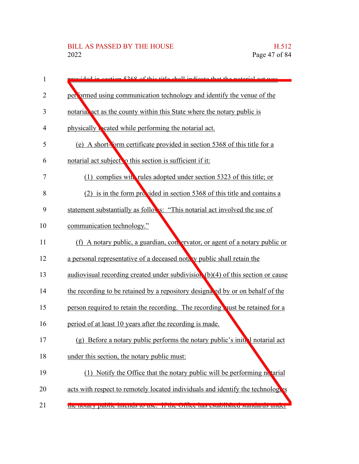| 1  | ovided in section 5268 of this title shall indicate that the natural act was      |
|----|-----------------------------------------------------------------------------------|
| 2  | performed using communication technology and identify the venue of the            |
| 3  | notarial act as the county within this State where the notary public is           |
| 4  | physically beated while performing the notarial act.                              |
| 5  | (e) A short-form certificate provided in section 5368 of this title for a         |
| 6  | notarial act subject o this section is sufficient if it:                          |
| 7  | (1) complies with rules adopted under section 5323 of this title; or              |
| 8  | (2) is in the form provided in section 5368 of this title and contains a          |
| 9  | statement substantially as follows: "This notarial act involved the use of        |
| 10 | communication technology."                                                        |
| 11 | (f) A notary public, a guardian, convervator, or agent of a notary public or      |
| 12 | a personal representative of a deceased notary public shall retain the            |
| 13 | audiovisual recording created under subdivision (b)(4) of this section or cause   |
| 14 | the recording to be retained by a repository designated by or on behalf of the    |
| 15 | person required to retain the recording. The recording qust be retained for a     |
| 16 | period of at least 10 years after the recording is made.                          |
| 17 | (g) Before a notary public performs the notary public's initial notarial act      |
| 18 | under this section, the notary public must:                                       |
| 19 | (1) Notify the Office that the notary public will be performing no tarial         |
| 20 | acts with respect to remotely located individuals and identify the technologies   |
| 21 | the hotal y public intentis to use. If the Office has established standards under |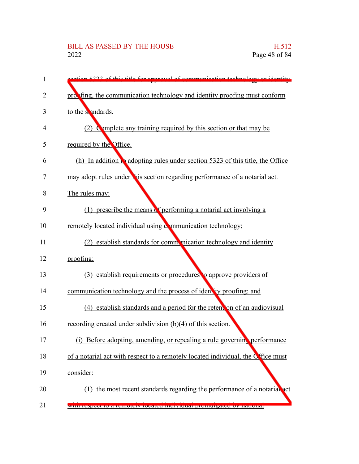# BILL AS PASSED BY THE HOUSE H.512<br>2022 Page 48 of 84

| 1  | of communication toohnology or identity<br>5222 of this title for approval       |
|----|----------------------------------------------------------------------------------|
| 2  | probling, the communication technology and identity proofing must conform        |
| 3  | to the sendards.                                                                 |
| 4  | (2) Complete any training required by this section or that may be                |
| 5  | required by the Office.                                                          |
| 6  | (h) In addition to adopting rules under section 5323 of this title, the Office   |
| 7  | may adopt rules under this section regarding performance of a notarial act.      |
| 8  | The rules may:                                                                   |
| 9  | (1) prescribe the means of performing a notarial act involving a                 |
| 10 | remotely located individual using communication technology;                      |
| 11 | (2) establish standards for communication technology and identity                |
| 12 | proofing;                                                                        |
| 13 | (3) establish requirements or procedures to approve providers of                 |
| 14 | communication technology and the process of identity proofing; and               |
| 15 | (4) establish standards and a period for the retent on of an audiovisual         |
| 16 | recording created under subdivision $(b)(4)$ of this section.                    |
| 17 | (i)<br>Before adopting, amending, or repealing a rule governing performance      |
| 18 | of a notarial act with respect to a remotely located individual, the Office must |
| 19 | consider:                                                                        |
| 20 | (1) the most recent standards regarding the performance of a notarial act        |
| 21 | with respect to a remotely focated murvidual promurgated by national             |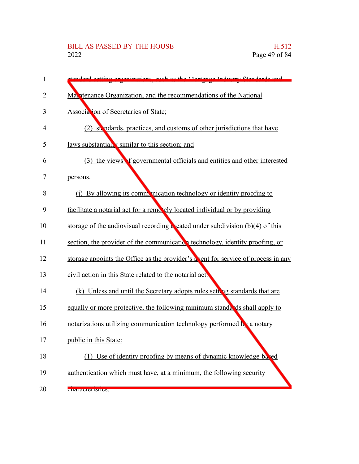| 1  | standard gatting arganizations, such as the Mortgage Industry Standards and                     |
|----|-------------------------------------------------------------------------------------------------|
| 2  | Ma atenance Organization, and the recommendations of the National                               |
| 3  | Association of Secretaries of State;                                                            |
| 4  | (2) stendards, practices, and customs of other jurisdictions that have                          |
| 5  | laws substantially similar to this section; and                                                 |
| 6  | (3) the views f governmental officials and entities and other interested                        |
| 7  | persons.                                                                                        |
| 8  | (i) By allowing its communication technology or identity proofing to                            |
| 9  | facilitate a notarial act for a remotely located individual or by providing                     |
| 10 | storage of the audiovisual recording $\ddot{\mathbf{c}}$ eated under subdivision (b)(4) of this |
| 11 | section, the provider of the communication technology, identity proofing, or                    |
| 12 | storage appoints the Office as the provider's a vent for service of process in any              |
| 13 | civil action in this State related to the notarial act.                                         |
| 14 | (k) Unless and until the Secretary adopts rules setting standards that are                      |
| 15 | equally or more protective, the following minimum standards shall apply to                      |
| 16 | notarizations utilizing communication technology performed by a notary                          |
| 17 | public in this State:                                                                           |
| 18 | (1) Use of identity proofing by means of dynamic knowledge-bared                                |
| 19 | authentication which must have, at a minimum, the following security                            |
| 20 | <b>CHARACTERIUS.</b>                                                                            |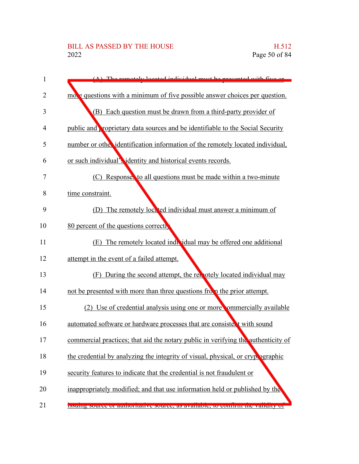### BILL AS PASSED BY THE HOUSE H.512<br>2022 Page 50 of 84

| 1              | The remately located individual must be presented with five or                        |
|----------------|---------------------------------------------------------------------------------------|
| 2              | more questions with a minimum of five possible answer choices per question.           |
| 3              | (B) Each question must be drawn from a third-party provider of                        |
| 4              | public and <b>proprietary</b> data sources and be identifiable to the Social Security |
| 5              | number or other identification information of the remotely located individual,        |
| 6              | or such individual's identity and historical events records.                          |
| $\overline{7}$ | (C) Responses to all questions must be made within a two-minute                       |
| 8              | time constraint.                                                                      |
| 9              | The remotely lock ted individual must answer a minimum of<br>(D)                      |
| 10             | 80 percent of the questions correct                                                   |
| 11             | (E) The remotely located individual may be offered one additional                     |
| 12             | attempt in the event of a failed attempt.                                             |
| 13             | (F) During the second attempt, the remotely located individual may                    |
| 14             | not be presented with more than three questions from the prior attempt.               |
| 15             | (2) Use of credential analysis using one or more commercially available               |
| 16             | automated software or hardware processes that are consistent with sound               |
| 17             | commercial practices; that aid the notary public in verifying the authenticity of     |
| 18             | the credential by analyzing the integrity of visual, physical, or crypt ographic      |
| 19             | security features to indicate that the credential is not fraudulent or                |
| 20             | inappropriately modified; and that use information held or published by the           |
| 21             | issume source or admortiance source, as available, to commit the validity of          |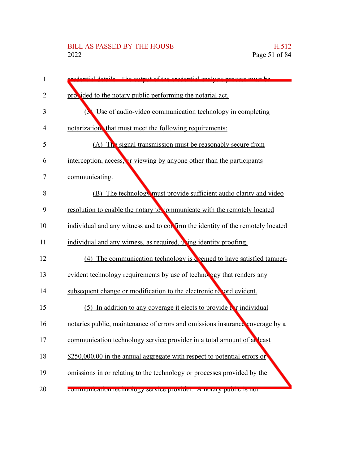### BILL AS PASSED BY THE HOUSE H.512<br>2022 Page 51 of 84

| $\mathbf{1}$   | redential details. The output of the credential analysis process must be        |
|----------------|---------------------------------------------------------------------------------|
| $\overline{2}$ | provided to the notary public performing the notarial act.                      |
| 3              | Use of audio-video communication technology in completing<br>$\mathbf{C}$       |
| 4              | notarization, that must meet the following requirements:                        |
| 5              | (A) The signal transmission must be reasonably secure from                      |
| 6              | interception, access, or viewing by anyone other than the participants          |
| $\overline{7}$ | communicating.                                                                  |
| 8              | (B) The technology must provide sufficient audio clarity and video              |
| 9              | resolution to enable the notary to communicate with the remotely located        |
| 10             | individual and any witness and to con firm the identity of the remotely located |
| 11             | individual and any witness, as required, wing identity proofing.                |
| 12             | $(4)$ The communication technology is $\alpha$ eemed to have satisfied tamper-  |
| 13             | evident technology requirements by use of technology that renders any           |
| 14             | subsequent change or modification to the electronic record evident.             |
| 15             | $(5)$ In addition to any coverage it elects to provide $\Gamma$ r individual    |
| 16             | notaries public, maintenance of errors and omissions insurance coverage by a    |
| 17             | communication technology service provider in a total amount of at least         |
| 18             | \$250,000.00 in the annual aggregate with respect to potential errors or        |
| 19             | omissions in or relating to the technology or processes provided by the         |
| 20             | communication technology service provider. A notary public is not               |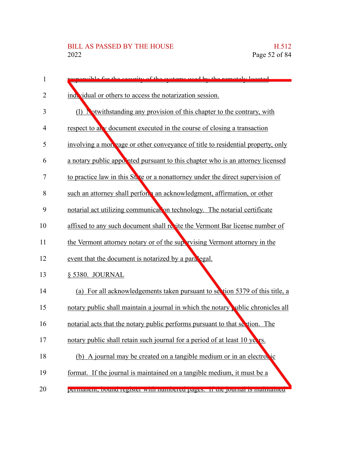| 1  | cible for the coquity of the systems used by the remotely located                |
|----|----------------------------------------------------------------------------------|
| 2  | individual or others to access the notarization session.                         |
| 3  | (1) Notwithstanding any provision of this chapter to the contrary, with          |
| 4  | respect to any document executed in the course of closing a transaction          |
| 5  | involving a morpage or other conveyance of title to residential property, only   |
| 6  | a notary public appointed pursuant to this chapter who is an attorney licensed   |
| 7  | to practice law in this State or a nonattorney under the direct supervision of   |
| 8  | such an attorney shall perform an acknowledgment, affirmation, or other          |
| 9  | notarial act utilizing communication technology. The notarial certificate        |
| 10 | affixed to any such document shall resite the Vermont Bar license number of      |
| 11 | the Vermont attorney notary or of the supervising Vermont attorney in the        |
| 12 | event that the document is notarized by a paralegal.                             |
| 13 | § 5380. JOURNAL                                                                  |
| 14 | (a) For all acknowledgements taken pursuant to section 5379 of this title, a     |
| 15 | notary public shall maintain a journal in which the notary public chronicles all |
| 16 | notarial acts that the notary public performs pursuant to that section. The      |
| 17 | notary public shall retain such journal for a period of at least 10 years.       |
| 18 | (b) A journal may be created on a tangible medium or in an electronic            |
| 19 | format. If the journal is maintained on a tangible medium, it must be a          |
| 20 | реннанен, обина гедыет whil панностет радем. Н ию роннаты напианией              |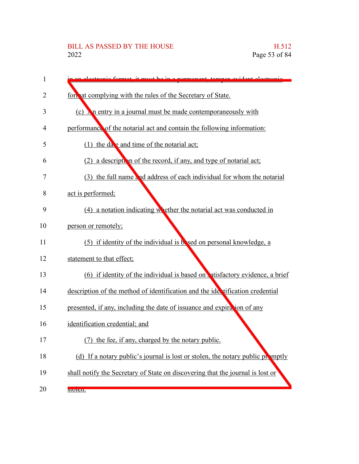## BILL AS PASSED BY THE HOUSE H.512<br>2022 Page 53 of 84

| 1  | it must be in a normanant tamper ovident electronic                            |
|----|--------------------------------------------------------------------------------|
| 2  | forwat complying with the rules of the Secretary of State.                     |
| 3  | (c) $\lambda$ n entry in a journal must be made contemporaneously with         |
| 4  | performance of the notarial act and contain the following information:         |
| 5  | (1) the date and time of the notarial act;                                     |
| 6  | (2) a description of the record, if any, and type of notarial act;             |
| 7  | (3) the full name and address of each individual for whom the notarial         |
| 8  | act is performed;                                                              |
| 9  | $(4)$ a notation indicating whether the notarial act was conducted in          |
| 10 | person or remotely;                                                            |
| 11 | (5) if identity of the individual is bosed on personal knowledge, a            |
| 12 | statement to that effect;                                                      |
| 13 | (6) if identity of the individual is based on atisfactory evidence, a brief    |
| 14 | description of the method of identification and the identification credential  |
| 15 | presented, if any, including the date of issuance and expiration of any        |
| 16 | identification credential; and                                                 |
| 17 | the fee, if any, charged by the notary public.                                 |
| 18 | (d) If a notary public's journal is lost or stolen, the notary public promptly |
| 19 | shall notify the Secretary of State on discovering that the journal is lost or |
| 20 | SU[1]                                                                          |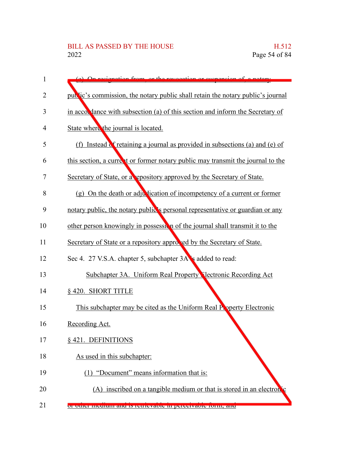| 1  | regionation from or the revegetion or guarance                                  |
|----|---------------------------------------------------------------------------------|
| 2  | public's commission, the notary public shall retain the notary public's journal |
| 3  | in accordance with subsection (a) of this section and inform the Secretary of   |
| 4  | State where the journal is located.                                             |
| 5  | (f) Instead of retaining a journal as provided in subsections (a) and (e) of    |
| 6  | this section, a current or former notary public may transmit the journal to the |
| 7  | Secretary of State, or a repository approved by the Secretary of State.         |
| 8  | (g) On the death or adjustication of incompetency of a current or former        |
| 9  | notary public, the notary public's personal representative or guardian or any   |
| 10 | other person knowingly in possession of the journal shall transmit it to the    |
| 11 | Secretary of State or a repository approved by the Secretary of State.          |
| 12 | Sec 4. 27 V.S.A. chapter 5, subchapter 3A s added to read:                      |
| 13 | Subchapter 3A. Uniform Real Property Nectronic Recording Act                    |
| 14 | § 420. SHORT TITLE                                                              |
| 15 | This subchapter may be cited as the Uniform Real Property Electronic            |
| 16 | Recording Act.                                                                  |
| 17 | §421. DEFINITIONS                                                               |
| 18 | As used in this subchapter:                                                     |
| 19 | "Document" means information that is:                                           |
| 20 | (A) inscribed on a tangible medium or that is stored in an electron c           |
| 21 | or other medium and is retrievable in perceivable form, and                     |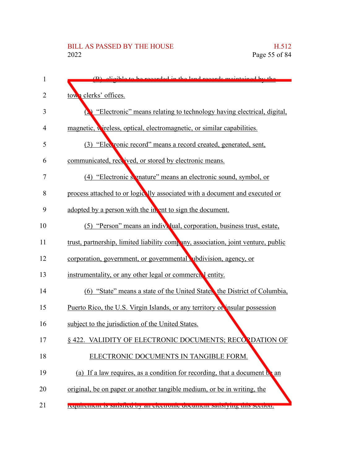| 1  | digible to be recorded in the land records maintained by the                      |
|----|-----------------------------------------------------------------------------------|
| 2  | town clerks' offices.                                                             |
| 3  | "Electronic" means relating to technology having electrical, digital,             |
| 4  | magnetic, wireless, optical, electromagnetic, or similar capabilities.            |
| 5  | (3) "Electronic record" means a record created, generated, sent,                  |
| 6  | communicated, received, or stored by electronic means.                            |
| 7  | (4) "Electronic signature" means an electronic sound, symbol, or                  |
| 8  | process attached to or logically associated with a document and executed or       |
| 9  | adopted by a person with the in ent to sign the document.                         |
| 10 | (5) "Person" means an individual, corporation, business trust, estate,            |
| 11 | trust, partnership, limited liability company, association, joint venture, public |
| 12 | corporation, government, or governmental ubdivision, agency, or                   |
| 13 | instrumentality, or any other legal or commercial entity.                         |
| 14 | (6) "State" means a state of the United States, the District of Columbia,         |
| 15 | Puerto Rico, the U.S. Virgin Islands, or any territory or insular possession      |
| 16 | subject to the jurisdiction of the United States.                                 |
| 17 | § 422. VALIDITY OF ELECTRONIC DOCUMENTS; RECORDATION OF                           |
| 18 | ELECTRONIC DOCUMENTS IN TANGIBLE FORM.                                            |
| 19 | (a) If a law requires, as a condition for recording, that a document be an        |
| 20 | original, be on paper or another tangible medium, or be in writing, the           |
| 21 | requirement is sausfied by an electronic document sausrying uns secuon.           |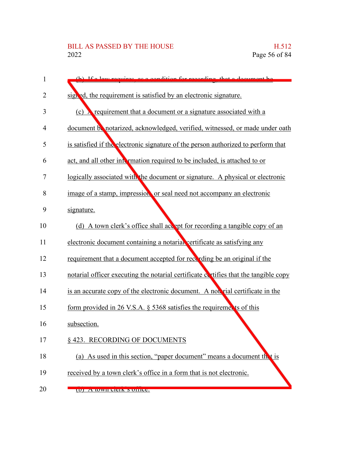| 1  | (b) If a law requires as a condition for recording that a document be              |
|----|------------------------------------------------------------------------------------|
| 2  | signed, the requirement is satisfied by an electronic signature.                   |
|    |                                                                                    |
| 3  | (c) <b>A</b> requirement that a document or a signature associated with a          |
| 4  | document be notarized, acknowledged, verified, witnessed, or made under oath       |
| 5  | is satisfied if the electronic signature of the person authorized to perform that  |
| 6  | act, and all other intermation required to be included, is attached to or          |
| 7  | logically associated with the document or signature. A physical or electronic      |
| 8  | image of a stamp, impression or seal need not accompany an electronic              |
| 9  | signature.                                                                         |
| 10 | (d) A town clerk's office shall accept for recording a tangible copy of an         |
| 11 | electronic document containing a notarial vertificate as satisfying any            |
| 12 | requirement that a document accepted for recording be an original if the           |
| 13 | notarial officer executing the notarial certificate evities that the tangible copy |
| 14 | is an accurate copy of the electronic document. A not rial certificate in the      |
| 15 | form provided in 26 V.S.A. $\S$ 5368 satisfies the requirements of this            |
| 16 | subsection.                                                                        |
| 17 | §423. RECORDING OF DOCUMENTS                                                       |
| 18 | (a) As used in this section, "paper document" means a document the t is            |
| 19 | received by a town clerk's office in a form that is not electronic.                |
| 20 | (U) A WWII CICIN S UIIICC.                                                         |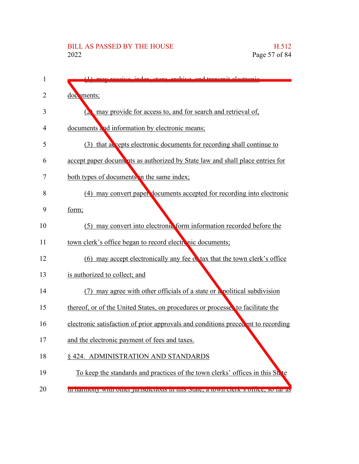| 1  | (1) mov receive index store excluye and transmit electronic                               |
|----|-------------------------------------------------------------------------------------------|
| 2  | documents;                                                                                |
| 3  | may provide for access to, and for search and retrieval of,                               |
| 4  | documents and information by electronic means;                                            |
| 5  | (3) that accepts electronic documents for recording shall continue to                     |
| 6  | accept paper documents as authorized by State law and shall place entries for             |
| 7  | both types of documents in the same index;                                                |
| 8  | (4) may convert paper documents accepted for recording into electronic                    |
| 9  | form;                                                                                     |
| 10 | (5) may convert into electronic form information recorded before the                      |
| 11 | town clerk's office began to record electronic documents;                                 |
| 12 | (6) may accept electronically any fee of tax that the town clerk's office                 |
| 13 | is authorized to collect; and                                                             |
| 14 | (7) may agree with other officials of a state or a political subdivision                  |
| 15 | thereof, or of the United States, on procedures or processes to facilitate the            |
| 16 | electronic satisfaction of prior approvals and conditions precedent to recording          |
| 17 | and the electronic payment of fees and taxes.                                             |
| 18 | § 424. ADMINISTRATION AND STANDARDS                                                       |
| 19 | To keep the standards and practices of the town clerks' offices in this St. te            |
| 20 | <u>in namiony with other jurisuieuons in this state, a town ciclic s omice, so far as</u> |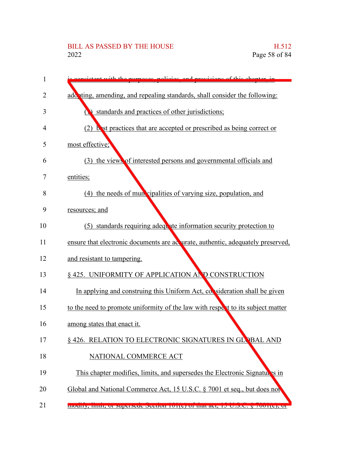## BILL AS PASSED BY THE HOUSE H.512<br>2022 Page 58 of 84

| 1  | wroses policies and<br><i>respective of this chanter in</i>                     |
|----|---------------------------------------------------------------------------------|
| 2  | additing, amending, and repealing standards, shall consider the following:      |
| 3  | standards and practices of other jurisdictions;                                 |
| 4  | (2) but practices that are accepted or prescribed as being correct or           |
| 5  | most effective;                                                                 |
| 6  | (3) the views of interested persons and governmental officials and              |
| 7  | entities;                                                                       |
| 8  | (4) the needs of mun cipalities of varying size, population, and                |
| 9  | resources; and                                                                  |
| 10 | (5) standards requiring adequate information security protection to             |
| 11 | ensure that electronic documents are accurate, authentic, adequately preserved, |
| 12 | and resistant to tampering.                                                     |
| 13 | § 425. UNIFORMITY OF APPLICATION AND CONSTRUCTION                               |
| 14 | In applying and construing this Uniform Act, consideration shall be given       |
| 15 | to the need to promote uniformity of the law with respect to its subject matter |
| 16 | among states that enact it.                                                     |
| 17 | § 426. RELATION TO ELECTRONIC SIGNATURES IN GLOBAL AND                          |
| 18 | NATIONAL COMMERCE ACT                                                           |
| 19 | This chapter modifies, limits, and supersedes the Electronic Signatures in      |
| 20 | Global and National Commerce Act, 15 U.S.C. § 7001 et seq., but does not        |
| 21 | mouny, mint, or superseat secutor ror(c) or mat act, re-Castelly /001(c), or    |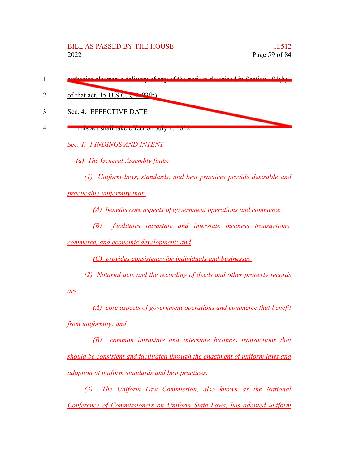|   | euthorize electronic delivery of eny of the notices described in Section 103(b) |
|---|---------------------------------------------------------------------------------|
|   | of that act, 15 U.S.C. $\frac{1}{2}$ 7003(b).                                   |
| 3 | Sec. 4. EFFECTIVE DATE                                                          |
|   | THIS art shall take effect on July 1, 2022.                                     |
|   | Sec. 1. FINDINGS AND INTENT                                                     |
|   | (a) The General Assembly finds:                                                 |
|   | (1) Uniform laws, standards, and best practices provide desirable and           |

*practicable uniformity that:*

*(A) benefits core aspects of government operations and commerce;*

*(B) facilitates intrastate and interstate business transactions,*

*commerce, and economic development; and*

*(C) provides consistency for individuals and businesses.*

*(2) Notarial acts and the recording of deeds and other property records*

*are:*

*(A) core aspects of government operations and commerce that benefit from uniformity; and*

*(B) common intrastate and interstate business transactions that should be consistent and facilitated through the enactment of uniform laws and adoption of uniform standards and best practices.*

*(3) The Uniform Law Commission, also known as the National Conference of Commissioners on Uniform State Laws, has adopted uniform*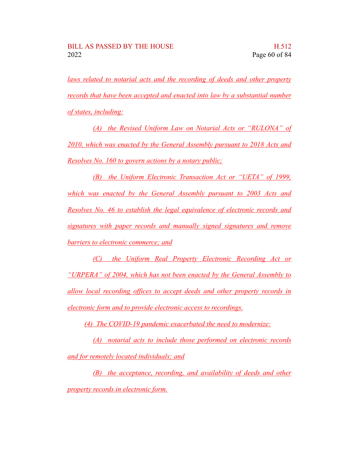*laws related to notarial acts and the recording of deeds and other property records that have been accepted and enacted into law by a substantial number of states, including:*

*(A) the Revised Uniform Law on Notarial Acts or "RULONA" of 2010, which was enacted by the General Assembly pursuant to 2018 Acts and Resolves No. 160 to govern actions by a notary public;*

*(B) the Uniform Electronic Transaction Act or "UETA" of 1999, which was enacted by the General Assembly pursuant to 2003 Acts and Resolves No. 46 to establish the legal equivalence of electronic records and signatures with paper records and manually signed signatures and remove barriers to electronic commerce; and*

*(C) the Uniform Real Property Electronic Recording Act or "URPERA" of 2004, which has not been enacted by the General Assembly to allow local recording offices to accept deeds and other property records in electronic form and to provide electronic access to recordings.*

*(4) The COVID-19 pandemic exacerbated the need to modernize:*

*(A) notarial acts to include those performed on electronic records and for remotely located individuals; and*

*(B) the acceptance, recording, and availability of deeds and other property records in electronic form.*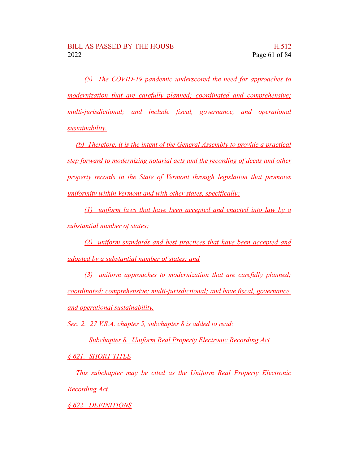*(5) The COVID-19 pandemic underscored the need for approaches to modernization that are carefully planned; coordinated and comprehensive; multi-jurisdictional; and include fiscal, governance, and operational sustainability.*

*(b) Therefore, it is the intent of the General Assembly to provide a practical step forward to modernizing notarial acts and the recording of deeds and other property records in the State of Vermont through legislation that promotes uniformity within Vermont and with other states, specifically:*

*(1) uniform laws that have been accepted and enacted into law by a substantial number of states;*

*(2) uniform standards and best practices that have been accepted and adopted by a substantial number of states; and*

*(3) uniform approaches to modernization that are carefully planned; coordinated; comprehensive; multi-jurisdictional; and have fiscal, governance, and operational sustainability.*

*Sec. 2. 27 V.S.A. chapter 5, subchapter 8 is added to read:*

*Subchapter 8. Uniform Real Property Electronic Recording Act*

*§ 621. SHORT TITLE*

*This subchapter may be cited as the Uniform Real Property Electronic Recording Act.*

*§ 622. DEFINITIONS*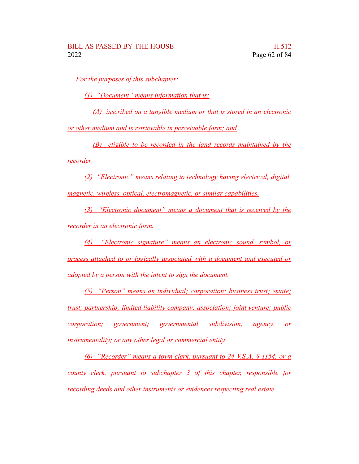*For the purposes of this subchapter:*

*(1) "Document" means information that is:*

*(A) inscribed on a tangible medium or that is stored in an electronic*

*or other medium and is retrievable in perceivable form; and*

*(B) eligible to be recorded in the land records maintained by the*

*recorder.*

*(2) "Electronic" means relating to technology having electrical, digital, magnetic, wireless, optical, electromagnetic, or similar capabilities.*

*(3) "Electronic document" means a document that is received by the recorder in an electronic form.*

*(4) "Electronic signature" means an electronic sound, symbol, or process attached to or logically associated with a document and executed or adopted by a person with the intent to sign the document.*

*(5) "Person" means an individual; corporation; business trust; estate; trust; partnership; limited liability company; association; joint venture; public corporation; government; governmental subdivision, agency, or instrumentality; or any other legal or commercial entity.*

*(6) "Recorder" means a town clerk, pursuant to 24 V.S.A. § 1154, or a county clerk, pursuant to subchapter 3 of this chapter, responsible for recording deeds and other instruments or evidences respecting real estate.*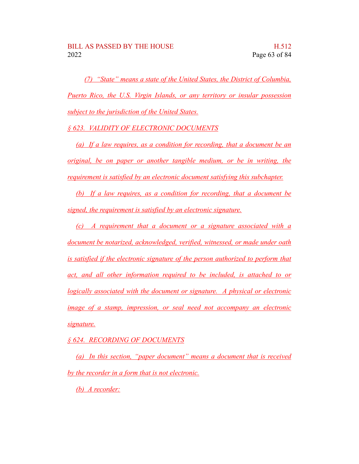*(7) "State" means a state of the United States, the District of Columbia, Puerto Rico, the U.S. Virgin Islands, or any territory or insular possession subject to the jurisdiction of the United States.*

*§ 623. VALIDITY OF ELECTRONIC DOCUMENTS*

*(a) If a law requires, as a condition for recording, that a document be an original, be on paper or another tangible medium, or be in writing, the requirement is satisfied by an electronic document satisfying this subchapter.*

*(b) If a law requires, as a condition for recording, that a document be signed, the requirement is satisfied by an electronic signature.*

*(c) A requirement that a document or a signature associated with a document be notarized, acknowledged, verified, witnessed, or made under oath is satisfied if the electronic signature of the person authorized to perform that act, and all other information required to be included, is attached to or logically associated with the document or signature. A physical or electronic image of a stamp, impression, or seal need not accompany an electronic signature.*

*§ 624. RECORDING OF DOCUMENTS*

*(a) In this section, "paper document" means a document that is received by the recorder in a form that is not electronic.*

*(b) A recorder:*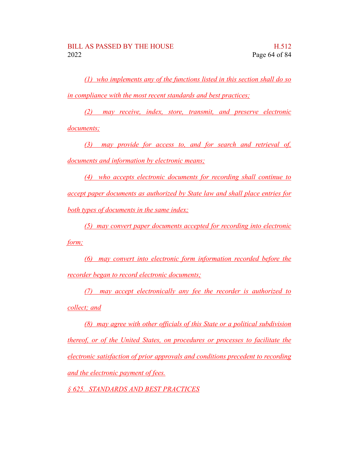*(1) who implements any of the functions listed in this section shall do so in compliance with the most recent standards and best practices;*

*(2) may receive, index, store, transmit, and preserve electronic documents;*

*(3) may provide for access to, and for search and retrieval of, documents and information by electronic means;*

*(4) who accepts electronic documents for recording shall continue to accept paper documents as authorized by State law and shall place entries for both types of documents in the same index;*

*(5) may convert paper documents accepted for recording into electronic form;*

*(6) may convert into electronic form information recorded before the recorder began to record electronic documents;*

*(7) may accept electronically any fee the recorder is authorized to collect; and*

*(8) may agree with other officials of this State or a political subdivision thereof, or of the United States, on procedures or processes to facilitate the electronic satisfaction of prior approvals and conditions precedent to recording and the electronic payment of fees.*

*§ 625. STANDARDS AND BEST PRACTICES*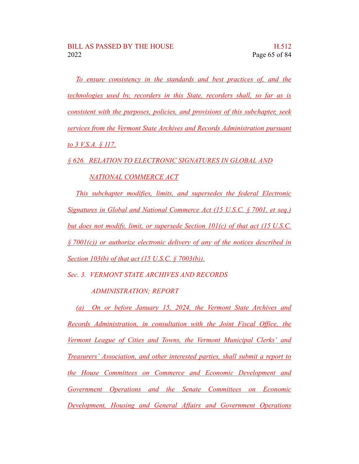*To ensure consistency in the standards and best practices of, and the technologies used by, recorders in this State, recorders shall, so far as is consistent with the purposes, policies, and provisions of this subchapter, seek services from the Vermont State Archives and Records Administration pursuant to 3 V.S.A. § 117.*

*§ 626. RELATION TO ELECTRONIC SIGNATURES IN GLOBAL AND*

#### *NATIONAL COMMERCE ACT*

*This subchapter modifies, limits, and supersedes the federal Electronic Signatures in Global and National Commerce Act (15 U.S.C. § 7001, et seq.) but does not modify, limit, or supersede Section 101(c) of that act (15 U.S.C. § 7001(c)) or authorize electronic delivery of any of the notices described in Section 103(b) of that act (15 U.S.C. § 7003(b)).*

*Sec. 3. VERMONT STATE ARCHIVES AND RECORDS*

#### *ADMINISTRATION; REPORT*

*(a) On or before January 15, 2024, the Vermont State Archives and Records Administration, in consultation with the Joint Fiscal Office, the Vermont League of Cities and Towns, the Vermont Municipal Clerks' and Treasurers' Association, and other interested parties, shall submit a report to the House Committees on Commerce and Economic Development and Government Operations and the Senate Committees on Economic Development, Housing and General Affairs and Government Operations*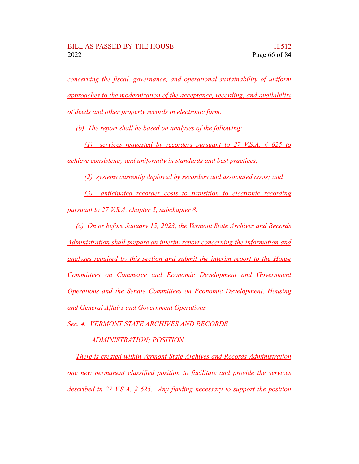*concerning the fiscal, governance, and operational sustainability of uniform approaches to the modernization of the acceptance, recording, and availability of deeds and other property records in electronic form.*

*(b) The report shall be based on analyses of the following:*

*(1) services requested by recorders pursuant to 27 V.S.A. § 625 to achieve consistency and uniformity in standards and best practices;*

*(2) systems currently deployed by recorders and associated costs; and*

*(3) anticipated recorder costs to transition to electronic recording pursuant to 27 V.S.A. chapter 5, subchapter 8.*

*(c) On or before January 15, 2023, the Vermont State Archives and Records Administration shall prepare an interim report concerning the information and analyses required by this section and submit the interim report to the House Committees on Commerce and Economic Development and Government Operations and the Senate Committees on Economic Development, Housing and General Affairs and Government Operations*

*Sec. 4. VERMONT STATE ARCHIVES AND RECORDS*

*ADMINISTRATION; POSITION*

*There is created within Vermont State Archives and Records Administration one new permanent classified position to facilitate and provide the services described in 27 V.S.A. § 625. Any funding necessary to support the position*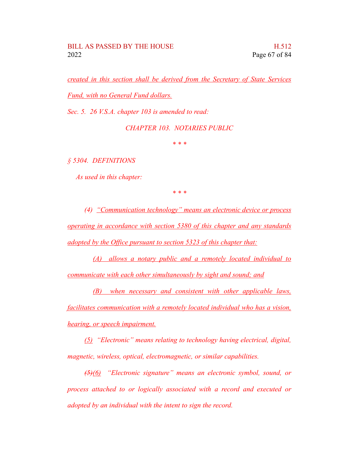#### BILL AS PASSED BY THE HOUSE **HAS** H.512 2022 Page 67 of 84

*created in this section shall be derived from the Secretary of State Services Fund, with no General Fund dollars.*

*Sec. 5. 26 V.S.A. chapter 103 is amended to read:*

*CHAPTER 103. NOTARIES PUBLIC*

*\* \* \**

*§ 5304. DEFINITIONS*

*As used in this chapter:*

*\* \* \**

*(4) "Communication technology" means an electronic device or process operating in accordance with section 5380 of this chapter and any standards adopted by the Office pursuant to section 5323 of this chapter that:*

*(A) allows a notary public and a remotely located individual to communicate with each other simultaneously by sight and sound; and*

*(B) when necessary and consistent with other applicable laws, facilitates communication with a remotely located individual who has a vision, hearing, or speech impairment.*

*(5) "Electronic" means relating to technology having electrical, digital, magnetic, wireless, optical, electromagnetic, or similar capabilities.*

*(5)(6) "Electronic signature" means an electronic symbol, sound, or process attached to or logically associated with a record and executed or adopted by an individual with the intent to sign the record.*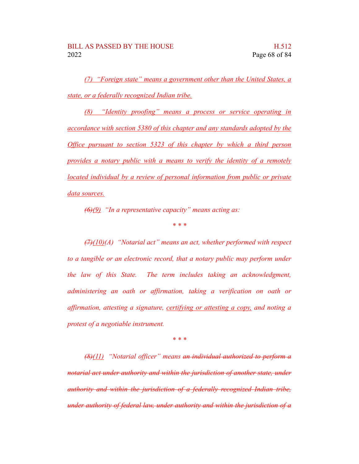*(7) "Foreign state" means a government other than the United States, a state, or a federally recognized Indian tribe.*

*(8) "Identity proofing" means a process or service operating in accordance with section 5380 of this chapter and any standards adopted by the Office pursuant to section 5323 of this chapter by which a third person provides a notary public with a means to verify the identity of a remotely located individual by a review of personal information from public or private data sources.*

*(6)(9) "In a representative capacity" means acting as:*

*\* \* \**

*(7)(10)(A) "Notarial act" means an act, whether performed with respect to a tangible or an electronic record, that a notary public may perform under the law of this State. The term includes taking an acknowledgment, administering an oath or affirmation, taking a verification on oath or affirmation, attesting a signature, certifying or attesting a copy, and noting a protest of a negotiable instrument.*

*\* \* \**

*(8)(11) "Notarial officer" means an individual authorized to perform a notarial act under authority and within the jurisdiction of another state, under authority and within the jurisdiction of a federally recognized Indian tribe, under authority of federal law, under authority and within the jurisdiction of a*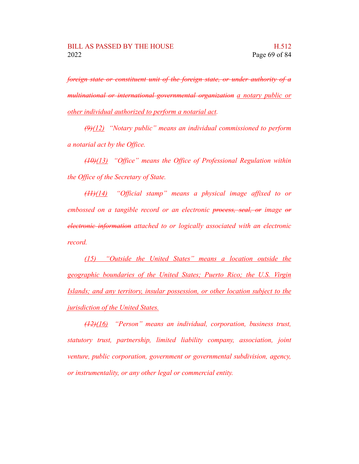*foreign state or constituent unit of the foreign state, or under authority of a multinational or international governmental organization a notary public or other individual authorized to perform a notarial act.*

*(9)(12) "Notary public" means an individual commissioned to perform a notarial act by the Office.*

*(10)(13) "Office" means the Office of Professional Regulation within the Office of the Secretary of State.*

*(11)(14) "Official stamp" means a physical image affixed to or embossed on a tangible record or an electronic process, seal, or image or electronic information attached to or logically associated with an electronic record.*

*(15) "Outside the United States" means a location outside the geographic boundaries of the United States; Puerto Rico; the U.S. Virgin Islands; and any territory, insular possession, or other location subject to the jurisdiction of the United States.*

*(12)(16) "Person" means an individual, corporation, business trust, statutory trust, partnership, limited liability company, association, joint venture, public corporation, government or governmental subdivision, agency, or instrumentality, or any other legal or commercial entity.*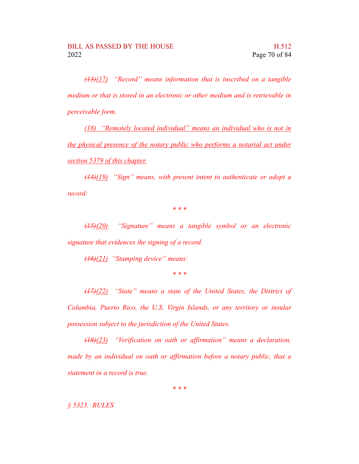*(13)(17) "Record" means information that is inscribed on a tangible medium or that is stored in an electronic or other medium and is retrievable in perceivable form.*

*(18) "Remotely located individual" means an individual who is not in the physical presence of the notary public who performs a notarial act under section 5379 of this chapter.*

*(14)(19) "Sign" means, with present intent to authenticate or adopt a record:*

*\* \* \**

*(15)(20) "Signature" means a tangible symbol or an electronic signature that evidences the signing of a record.*

*(16)(21) "Stamping device" means:*

*\* \* \**

*(17)(22) "State" means a state of the United States, the District of Columbia, Puerto Rico, the U.S. Virgin Islands, or any territory or insular possession subject to the jurisdiction of the United States.*

*(18)(23) "Verification on oath or affirmation" means a declaration, made by an individual on oath or affirmation before a notary public, that a statement in a record is true.*

*\* \* \**

*§ 5323. RULES*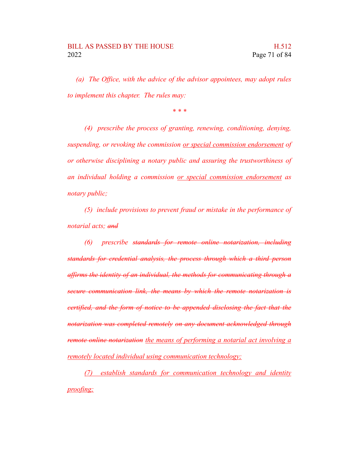*(a) The Office, with the advice of the advisor appointees, may adopt rules to implement this chapter. The rules may:*

*\* \* \**

*(4) prescribe the process of granting, renewing, conditioning, denying, suspending, or revoking the commission or special commission endorsement of or otherwise disciplining a notary public and assuring the trustworthiness of an individual holding a commission or special commission endorsement as notary public;*

*(5) include provisions to prevent fraud or mistake in the performance of notarial acts; and*

*(6) prescribe standards for remote online notarization, including standards for credential analysis, the process through which a third person affirms the identity of an individual, the methods for communicating through a secure communication link, the means by which the remote notarization is certified, and the form of notice to be appended disclosing the fact that the notarization was completed remotely on any document acknowledged through remote online notarization the means of performing a notarial act involving a remotely located individual using communication technology;*

*(7) establish standards for communication technology and identity proofing;*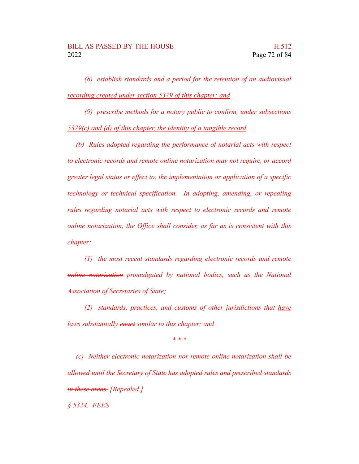*(8) establish standards and a period for the retention of an audiovisual recording created under section 5379 of this chapter; and*

*(9) prescribe methods for a notary public to confirm, under subsections 5379(c) and (d) of this chapter, the identity of a tangible record.*

*(b) Rules adopted regarding the performance of notarial acts with respect to electronic records and remote online notarization may not require, or accord greater legal status or effect to, the implementation or application of a specific technology or technical specification. In adopting, amending, or repealing rules regarding notarial acts with respect to electronic records and remote online notarization, the Office shall consider, as far as is consistent with this chapter:*

*(1) the most recent standards regarding electronic records and remote online notarization promulgated by national bodies, such as the National Association of Secretaries of State;*

*(2) standards, practices, and customs of other jurisdictions that have laws substantially enact similar to this chapter; and*

*\* \* \**

*(c) Neither electronic notarization nor remote online notarization shall be allowed until the Secretary of State has adopted rules and prescribed standards in these areas. [Repealed.]*

*§ 5324. FEES*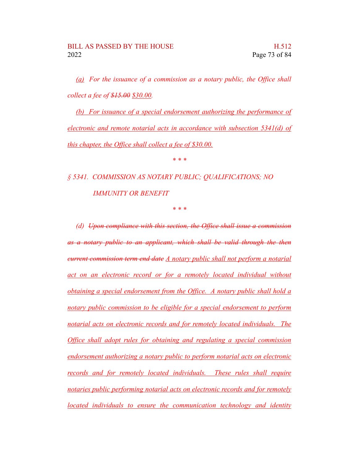*(a) For the issuance of a commission as a notary public, the Office shall collect a fee of \$15.00 \$30.00.*

*(b) For issuance of a special endorsement authorizing the performance of electronic and remote notarial acts in accordance with subsection 5341(d) of this chapter, the Office shall collect a fee of \$30.00.*

*\* \* \**

*§ 5341. COMMISSION AS NOTARY PUBLIC; QUALIFICATIONS; NO IMMUNITY OR BENEFIT*

*\* \* \**

*(d) Upon compliance with this section, the Office shall issue a commission as a notary public to an applicant, which shall be valid through the then current commission term end date A notary public shall not perform a notarial act on an electronic record or for a remotely located individual without obtaining a special endorsement from the Office. A notary public shall hold a notary public commission to be eligible for a special endorsement to perform notarial acts on electronic records and for remotely located individuals. The Office shall adopt rules for obtaining and regulating a special commission endorsement authorizing a notary public to perform notarial acts on electronic records and for remotely located individuals. These rules shall require notaries public performing notarial acts on electronic records and for remotely located individuals to ensure the communication technology and identity*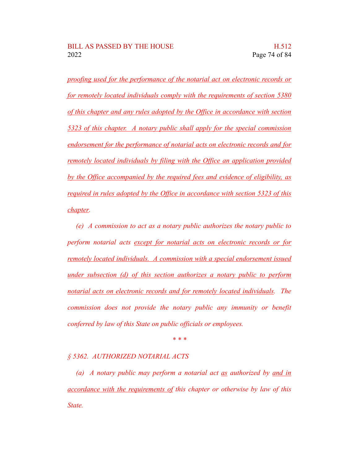*proofing used for the performance of the notarial act on electronic records or for remotely located individuals comply with the requirements of section 5380 of this chapter and any rules adopted by the Office in accordance with section 5323 of this chapter. A notary public shall apply for the special commission endorsement for the performance of notarial acts on electronic records and for remotely located individuals by filing with the Office an application provided by the Office accompanied by the required fees and evidence of eligibility, as required in rules adopted by the Office in accordance with section 5323 of this chapter.*

*(e) A commission to act as a notary public authorizes the notary public to perform notarial acts except for notarial acts on electronic records or for remotely located individuals. A commission with a special endorsement issued under subsection (d) of this section authorizes a notary public to perform notarial acts on electronic records and for remotely located individuals. The commission does not provide the notary public any immunity or benefit conferred by law of this State on public officials or employees.*

*\* \* \**

## *§ 5362. AUTHORIZED NOTARIAL ACTS*

*(a) A notary public may perform a notarial act as authorized by and in accordance with the requirements of this chapter or otherwise by law of this State.*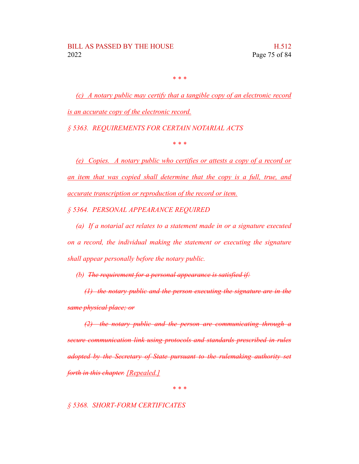*\* \* \**

*(c) A notary public may certify that a tangible copy of an electronic record is an accurate copy of the electronic record.*

*§ 5363. REQUIREMENTS FOR CERTAIN NOTARIAL ACTS*

*\* \* \**

*(e) Copies. A notary public who certifies or attests a copy of a record or an item that was copied shall determine that the copy is a full, true, and accurate transcription or reproduction of the record or item.*

*§ 5364. PERSONAL APPEARANCE REQUIRED*

*(a) If a notarial act relates to a statement made in or a signature executed on a record, the individual making the statement or executing the signature shall appear personally before the notary public.*

*(b) The requirement for a personal appearance is satisfied if:*

*(1) the notary public and the person executing the signature are in the same physical place; or*

*(2) the notary public and the person are communicating through a secure communication link using protocols and standards prescribed in rules adopted by the Secretary of State pursuant to the rulemaking authority set forth in this chapter. [Repealed.]*

*\* \* \**

## *§ 5368. SHORT-FORM CERTIFICATES*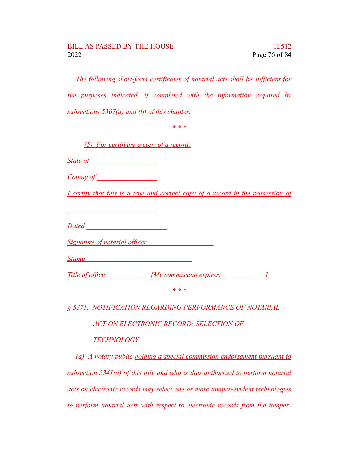*The following short-form certificates of notarial acts shall be sufficient for the purposes indicated, if completed with the information required by subsections 5367(a) and (b) of this chapter:*

*\* \* \**

*(5) For certifying a copy of a record:*

*State of \_\_\_\_\_\_\_\_\_\_\_\_\_\_\_\_\_\_*

*County of \_\_\_\_\_\_\_\_\_\_\_\_\_\_\_\_\_*

*I certify that this is a true and correct copy of a record in the possession of*

*Dated \_\_\_\_\_\_\_\_\_\_\_\_\_\_\_\_\_\_\_\_\_\_\_*

*\_\_\_\_\_\_\_\_\_\_\_\_\_\_\_\_\_\_\_\_\_\_\_\_\_*

*Signature of notarial officer \_\_\_\_\_\_\_\_\_\_\_\_\_\_\_\_\_\_*

*Stamp \_\_\_\_\_\_\_\_\_\_\_\_\_\_\_\_\_\_\_\_\_\_\_\_\_\_\_\_\_\_*

*Title* of office *IMy commission expires: 1* 

*\* \* \**

*§ 5371. NOTIFICATION REGARDING PERFORMANCE OF NOTARIAL*

*ACT ON ELECTRONIC RECORD; SELECTION OF*

## *TECHNOLOGY*

*(a) A notary public holding a special commission endorsement pursuant to subsection 5341(d) of this title and who is thus authorized to perform notarial acts on electronic records may select one or more tamper-evident technologies to perform notarial acts with respect to electronic records from the tamper-*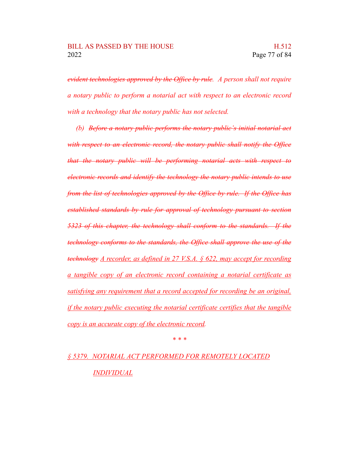*evident technologies approved by the Office by rule. A person shall not require a notary public to perform a notarial act with respect to an electronic record with a technology that the notary public has not selected.*

*(b) Before a notary public performs the notary public's initial notarial act with respect to an electronic record, the notary public shall notify the Office that the notary public will be performing notarial acts with respect to electronic records and identify the technology the notary public intends to use from the list of technologies approved by the Office by rule. If the Office has established standards by rule for approval of technology pursuant to section 5323 of this chapter, the technology shall conform to the standards. If the technology conforms to the standards, the Office shall approve the use of the technology A recorder, as defined in 27 V.S.A. § 622, may accept for recording a tangible copy of an electronic record containing a notarial certificate as satisfying any requirement that a record accepted for recording be an original, if the notary public executing the notarial certificate certifies that the tangible copy is an accurate copy of the electronic record.*

*\* \* \**

*§ 5379. NOTARIAL ACT PERFORMED FOR REMOTELY LOCATED INDIVIDUAL*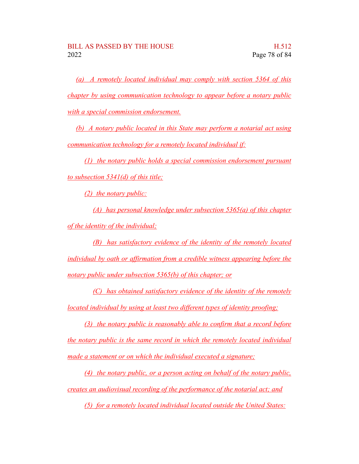*(a) A remotely located individual may comply with section 5364 of this chapter by using communication technology to appear before a notary public with a special commission endorsement.*

*(b) A notary public located in this State may perform a notarial act using communication technology for a remotely located individual if:*

*(1) the notary public holds a special commission endorsement pursuant to subsection 5341(d) of this title;*

*(2) the notary public:*

*(A) has personal knowledge under subsection 5365(a) of this chapter of the identity of the individual;*

*(B) has satisfactory evidence of the identity of the remotely located individual by oath or affirmation from a credible witness appearing before the notary public under subsection 5365(b) of this chapter; or*

*(C) has obtained satisfactory evidence of the identity of the remotely located individual by using at least two different types of identity proofing;*

*(3) the notary public is reasonably able to confirm that a record before the notary public is the same record in which the remotely located individual made a statement or on which the individual executed a signature;*

*(4) the notary public, or a person acting on behalf of the notary public, creates an audiovisual recording of the performance of the notarial act; and*

*(5) for a remotely located individual located outside the United States:*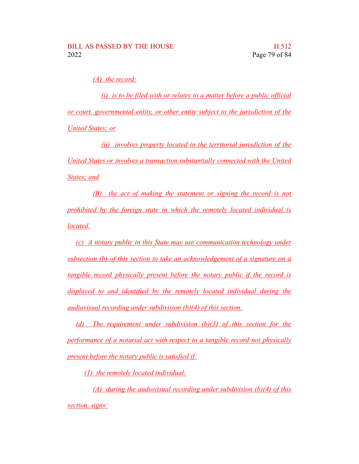*(A) the record:*

*(i) is to be filed with or relates to a matter before a public official or court, governmental entity, or other entity subject to the jurisdiction of the United States; or*

*(ii) involves property located in the territorial jurisdiction of the United States or involves a transaction substantially connected with the United States; and*

*(B) the act of making the statement or signing the record is not prohibited by the foreign state in which the remotely located individual is located.*

*(c) A notary public in this State may use communication technology under subsection (b) of this section to take an acknowledgement of a signature on a tangible record physically present before the notary public if the record is displayed to and identified by the remotely located individual during the audiovisual recording under subdivision (b)(4) of this section.*

*(d) The requirement under subdivision (b)(3) of this section for the performance of a notarial act with respect to a tangible record not physically present before the notary public is satisfied if:*

*(1) the remotely located individual:*

*(A) during the audiovisual recording under subdivision (b)(4) of this section, signs:*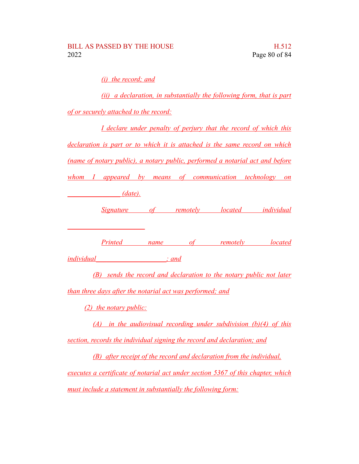*(i) the record; and*

*(ii) a declaration, in substantially the following form, that is part of or securely attached to the record:*

*I declare under penalty of perjury that the record of which this declaration is part or to which it is attached is the same record on which (name of notary public), a notary public, performed a notarial act and before whom I appeared by means of communication technology on*

*\_\_\_\_\_\_\_\_\_\_\_\_\_\_\_ (date).*

*\_\_\_\_\_\_\_\_\_\_\_\_\_\_\_\_\_\_\_\_\_\_*

*Signature of remotely located individual*

*Printed name of remotely located*

*individual\_\_\_\_\_\_\_\_\_\_\_\_\_\_\_\_\_\_\_\_; and*

*(B) sends the record and declaration to the notary public not later than three days after the notarial act was performed; and*

*(2) the notary public:*

*(A) in the audiovisual recording under subdivision (b)(4) of this section, records the individual signing the record and declaration; and*

*(B) after receipt of the record and declaration from the individual, executes a certificate of notarial act under section 5367 of this chapter, which must include a statement in substantially the following form:*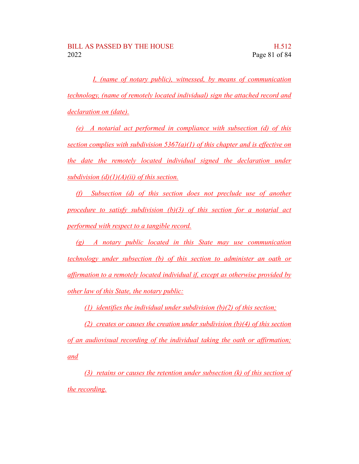*I, (name of notary public), witnessed, by means of communication technology, (name of remotely located individual) sign the attached record and declaration on (date).*

*(e) A notarial act performed in compliance with subsection (d) of this section complies with subdivision 5367(a)(1) of this chapter and is effective on the date the remotely located individual signed the declaration under subdivision (d)(1)(A)(ii) of this section.*

*(f) Subsection (d) of this section does not preclude use of another procedure to satisfy subdivision (b)(3) of this section for a notarial act performed with respect to a tangible record.*

*(g) A notary public located in this State may use communication technology under subsection (b) of this section to administer an oath or affirmation to a remotely located individual if, except as otherwise provided by other law of this State, the notary public:*

*(1) identifies the individual under subdivision (b)(2) of this section;*

*(2) creates or causes the creation under subdivision (b)(4) of this section of an audiovisual recording of the individual taking the oath or affirmation; and*

*(3) retains or causes the retention under subsection (k) of this section of the recording.*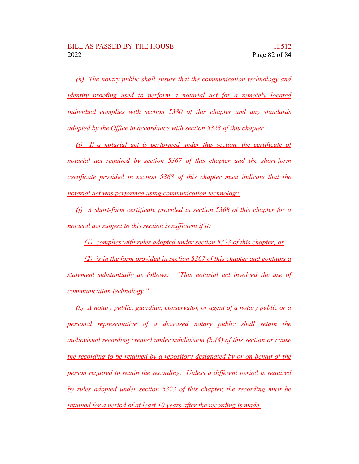*(h) The notary public shall ensure that the communication technology and identity proofing used to perform a notarial act for a remotely located individual complies with section 5380 of this chapter and any standards adopted by the Office in accordance with section 5323 of this chapter.*

*(i) If a notarial act is performed under this section, the certificate of notarial act required by section 5367 of this chapter and the short-form certificate provided in section 5368 of this chapter must indicate that the notarial act was performed using communication technology.*

*(j) A short-form certificate provided in section 5368 of this chapter for a notarial act subject to this section is sufficient if it:*

*(1) complies with rules adopted under section 5323 of this chapter; or*

*(2) is in the form provided in section 5367 of this chapter and contains a statement substantially as follows: "This notarial act involved the use of communication technology."*

*(k) A notary public, guardian, conservator, or agent of a notary public or a personal representative of a deceased notary public shall retain the audiovisual recording created under subdivision (b)(4) of this section or cause the recording to be retained by a repository designated by or on behalf of the person required to retain the recording. Unless a different period is required by rules adopted under section 5323 of this chapter, the recording must be retained for a period of at least 10 years after the recording is made.*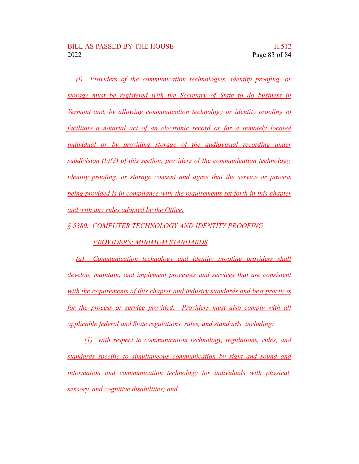*(l) Providers of the communication technologies, identity proofing, or storage must be registered with the Secretary of State to do business in Vermont and, by allowing communication technology or identity proofing to facilitate a notarial act of an electronic record or for a remotely located individual or by providing storage of the audiovisual recording under subdivision (b)(3) of this section, providers of the communication technology, identity proofing, or storage consent and agree that the service or process being provided is in compliance with the requirements set forth in this chapter and with any rules adopted by the Office.*

*§ 5380. COMPUTER TECHNOLOGY AND IDENTITY PROOFING*

## *PROVIDERS; MINIMUM STANDARDS*

*(a) Communication technology and identity proofing providers shall develop, maintain, and implement processes and services that are consistent with the requirements of this chapter and industry standards and best practices for the process or service provided. Providers must also comply with all applicable federal and State regulations, rules, and standards, including:*

*(1) with respect to communication technology, regulations, rules, and standards specific to simultaneous communication by sight and sound and information and communication technology for individuals with physical, sensory, and cognitive disabilities; and*